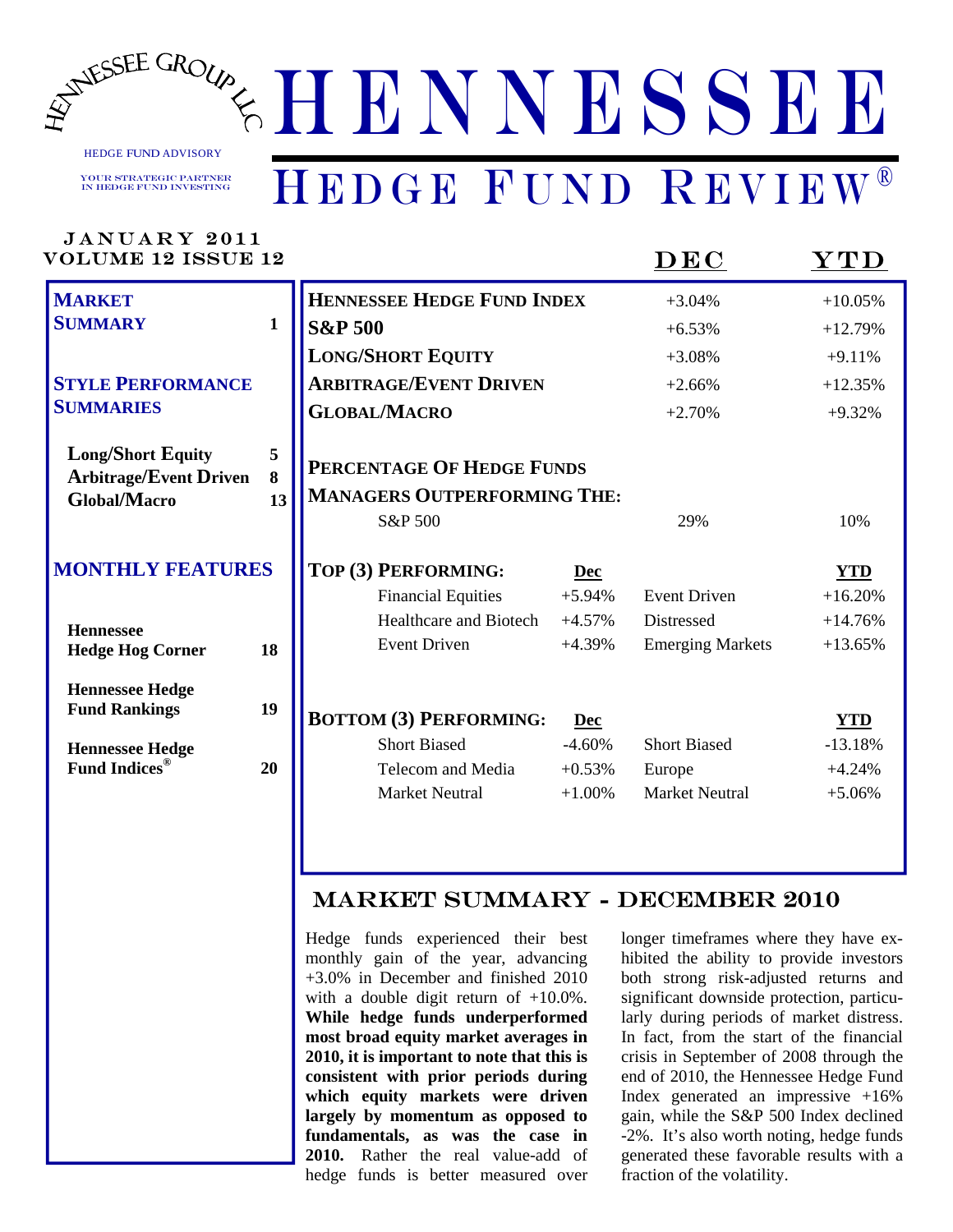

ANNESSEE GROUP & HENNESSEE

#### HEDGE FUND ADVISORY Your Strategic Partner in Hedge Fund Investing

## HEDGE FUND REVIEW®

| <b>VOLUME 12 ISSUE 12</b>                                 |              |                                    |            | $\mathbf{D}\mathbf{E}\mathbf{C}$ | $\mathbf{YTD}$ |
|-----------------------------------------------------------|--------------|------------------------------------|------------|----------------------------------|----------------|
| <b>MARKET</b>                                             |              | <b>HENNESSEE HEDGE FUND INDEX</b>  |            | $+3.04%$                         | $+10.05%$      |
| <b>SUMMARY</b>                                            | $\mathbf{1}$ | <b>S&amp;P 500</b>                 |            | $+6.53%$                         | $+12.79%$      |
|                                                           |              | <b>LONG/SHORT EQUITY</b>           |            | $+3.08%$                         | $+9.11%$       |
| <b>STYLE PERFORMANCE</b>                                  |              | <b>ARBITRAGE/EVENT DRIVEN</b>      |            | $+2.66%$                         | $+12.35%$      |
| <b>SUMMARIES</b>                                          |              | <b>GLOBAL/MACRO</b>                |            | $+2.70%$                         | $+9.32%$       |
| <b>Long/Short Equity</b><br><b>Arbitrage/Event Driven</b> | 5<br>8       | PERCENTAGE OF HEDGE FUNDS          |            |                                  |                |
| Global/Macro                                              | 13           | <b>MANAGERS OUTPERFORMING THE:</b> |            |                                  |                |
|                                                           |              | S&P 500                            |            | 29%                              | 10%            |
| <b>MONTHLY FEATURES</b>                                   |              | TOP (3) PERFORMING:                | <b>Dec</b> |                                  | <b>YTD</b>     |
|                                                           |              | <b>Financial Equities</b>          | $+5.94%$   | <b>Event Driven</b>              | $+16.20%$      |
| <b>Hennessee</b>                                          |              | <b>Healthcare and Biotech</b>      | $+4.57%$   | Distressed                       | $+14.76%$      |
| <b>Hedge Hog Corner</b>                                   | 18           | <b>Event Driven</b>                | $+4.39%$   | <b>Emerging Markets</b>          | $+13.65%$      |
| <b>Hennessee Hedge</b>                                    |              |                                    |            |                                  |                |
| <b>Fund Rankings</b>                                      | 19           | <b>BOTTOM (3) PERFORMING:</b>      | <b>Dec</b> |                                  | <b>YTD</b>     |
| <b>Hennessee Hedge</b>                                    |              | <b>Short Biased</b>                | $-4.60%$   | <b>Short Biased</b>              | $-13.18%$      |
| <b>Fund Indices®</b>                                      | 20           | Telecom and Media                  | $+0.53%$   | Europe                           | $+4.24%$       |
|                                                           |              | <b>Market Neutral</b>              | $+1.00%$   | <b>Market Neutral</b>            | $+5.06%$       |

#### MARKET SUMMARY - December 2010

Hedge funds experienced their best monthly gain of the year, advancing +3.0% in December and finished 2010 with a double digit return of  $+10.0\%$ . **While hedge funds underperformed most broad equity market averages in 2010, it is important to note that this is consistent with prior periods during which equity markets were driven largely by momentum as opposed to fundamentals, as was the case in 2010.** Rather the real value-add of hedge funds is better measured over

longer timeframes where they have exhibited the ability to provide investors both strong risk-adjusted returns and significant downside protection, particularly during periods of market distress. In fact, from the start of the financial crisis in September of 2008 through the end of 2010, the Hennessee Hedge Fund Index generated an impressive +16% gain, while the S&P 500 Index declined -2%. It's also worth noting, hedge funds generated these favorable results with a fraction of the volatility.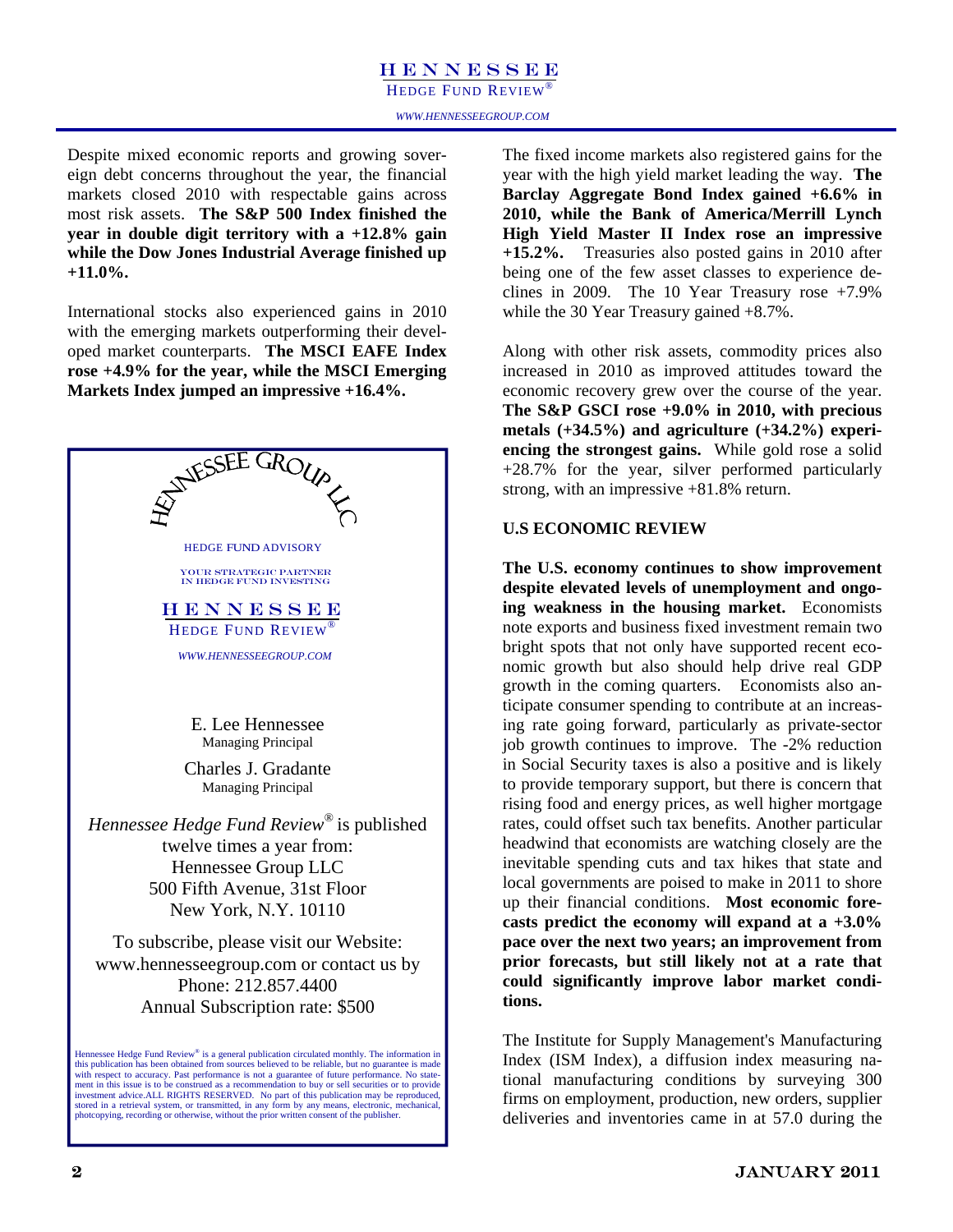HEDGE FUND REVIEW<sup>®</sup>

Despite mixed economic reports and growing sovereign debt concerns throughout the year, the financial markets closed 2010 with respectable gains across most risk assets. **The S&P 500 Index finished the year in double digit territory with a +12.8% gain while the Dow Jones Industrial Average finished up +11.0%.** 

International stocks also experienced gains in 2010 with the emerging markets outperforming their developed market counterparts. **The MSCI EAFE Index rose +4.9% for the year, while the MSCI Emerging Markets Index jumped an impressive +16.4%.** 



The fixed income markets also registered gains for the year with the high yield market leading the way. **The Barclay Aggregate Bond Index gained +6.6% in 2010, while the Bank of America/Merrill Lynch High Yield Master II Index rose an impressive +15.2%.** Treasuries also posted gains in 2010 after being one of the few asset classes to experience declines in 2009. The 10 Year Treasury rose  $+7.9\%$ while the 30 Year Treasury gained +8.7%.

Along with other risk assets, commodity prices also increased in 2010 as improved attitudes toward the economic recovery grew over the course of the year. **The S&P GSCI rose +9.0% in 2010, with precious metals (+34.5%) and agriculture (+34.2%) experiencing the strongest gains.** While gold rose a solid +28.7% for the year, silver performed particularly strong, with an impressive +81.8% return.

#### **U.S ECONOMIC REVIEW**

**The U.S. economy continues to show improvement despite elevated levels of unemployment and ongoing weakness in the housing market.** Economists note exports and business fixed investment remain two bright spots that not only have supported recent economic growth but also should help drive real GDP growth in the coming quarters. Economists also anticipate consumer spending to contribute at an increasing rate going forward, particularly as private-sector job growth continues to improve. The -2% reduction in Social Security taxes is also a positive and is likely to provide temporary support, but there is concern that rising food and energy prices, as well higher mortgage rates, could offset such tax benefits. Another particular headwind that economists are watching closely are the inevitable spending cuts and tax hikes that state and local governments are poised to make in 2011 to shore up their financial conditions. **Most economic forecasts predict the economy will expand at a +3.0% pace over the next two years; an improvement from prior forecasts, but still likely not at a rate that could significantly improve labor market conditions.** 

The Institute for Supply Management's Manufacturing Index (ISM Index), a diffusion index measuring national manufacturing conditions by surveying 300 firms on employment, production, new orders, supplier deliveries and inventories came in at 57.0 during the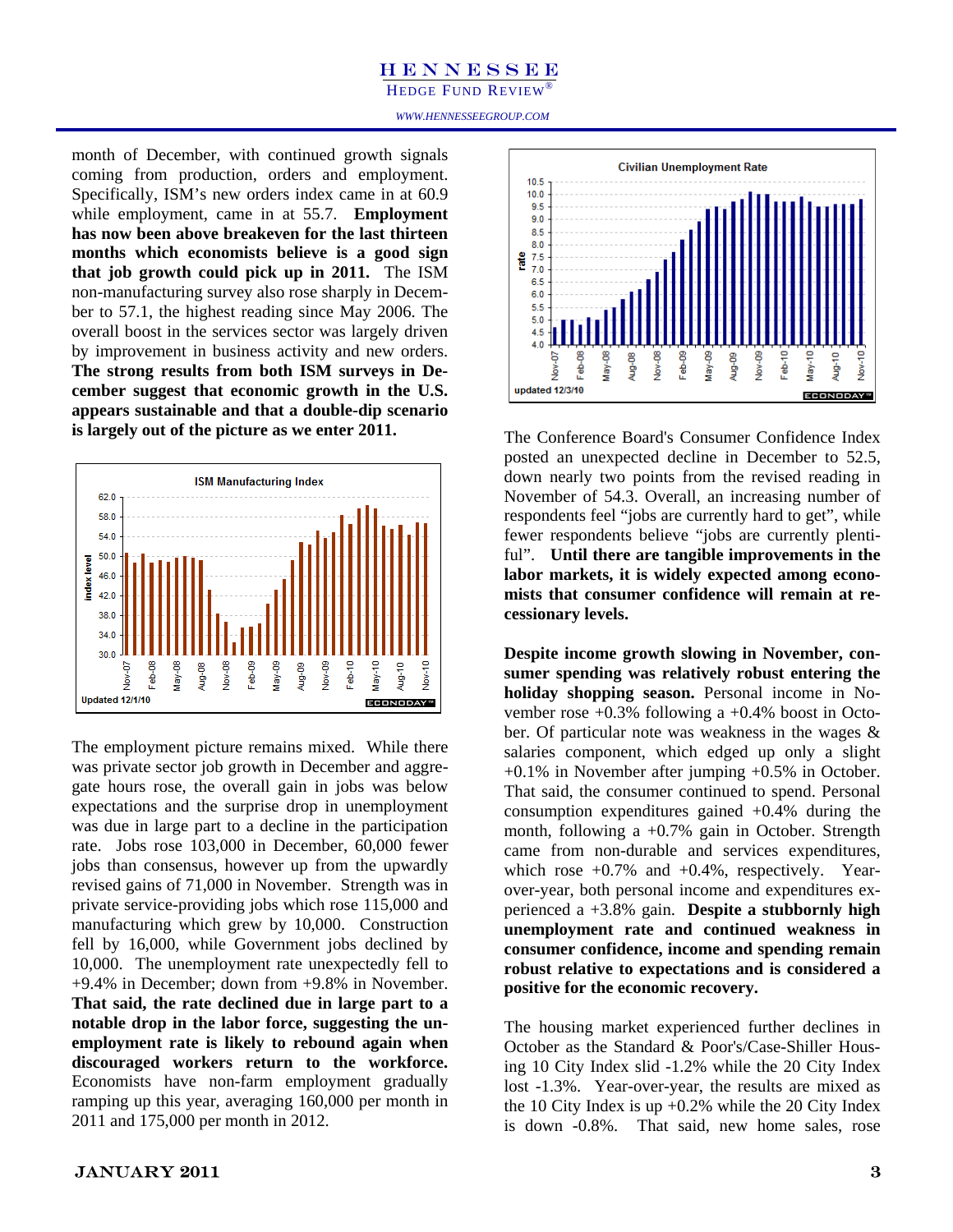HEDGE FUND REVIEW

*WWW.HENNESSEEGROUP.COM* 

month of December, with continued growth signals coming from production, orders and employment. Specifically, ISM's new orders index came in at 60.9 while employment, came in at 55.7. **Employment has now been above breakeven for the last thirteen months which economists believe is a good sign that job growth could pick up in 2011.** The ISM non-manufacturing survey also rose sharply in December to 57.1, the highest reading since May 2006. The overall boost in the services sector was largely driven by improvement in business activity and new orders. **The strong results from both ISM surveys in December suggest that economic growth in the U.S. appears sustainable and that a double-dip scenario is largely out of the picture as we enter 2011.** 



The employment picture remains mixed. While there was private sector job growth in December and aggregate hours rose, the overall gain in jobs was below expectations and the surprise drop in unemployment was due in large part to a decline in the participation rate. Jobs rose 103,000 in December, 60,000 fewer jobs than consensus, however up from the upwardly revised gains of 71,000 in November. Strength was in private service-providing jobs which rose 115,000 and manufacturing which grew by 10,000. Construction fell by 16,000, while Government jobs declined by 10,000. The unemployment rate unexpectedly fell to +9.4% in December; down from +9.8% in November. **That said, the rate declined due in large part to a notable drop in the labor force, suggesting the unemployment rate is likely to rebound again when discouraged workers return to the workforce.**  Economists have non-farm employment gradually ramping up this year, averaging 160,000 per month in 2011 and 175,000 per month in 2012.



The Conference Board's Consumer Confidence Index posted an unexpected decline in December to 52.5, down nearly two points from the revised reading in November of 54.3. Overall, an increasing number of respondents feel "jobs are currently hard to get", while fewer respondents believe "jobs are currently plentiful". **Until there are tangible improvements in the labor markets, it is widely expected among economists that consumer confidence will remain at recessionary levels.** 

**Despite income growth slowing in November, consumer spending was relatively robust entering the holiday shopping season.** Personal income in November rose  $+0.3\%$  following a  $+0.4\%$  boost in October. Of particular note was weakness in the wages & salaries component, which edged up only a slight +0.1% in November after jumping +0.5% in October. That said, the consumer continued to spend. Personal consumption expenditures gained +0.4% during the month, following a  $+0.7\%$  gain in October. Strength came from non-durable and services expenditures, which rose  $+0.7\%$  and  $+0.4\%$ , respectively. Yearover-year, both personal income and expenditures experienced a +3.8% gain. **Despite a stubbornly high unemployment rate and continued weakness in consumer confidence, income and spending remain robust relative to expectations and is considered a positive for the economic recovery.** 

The housing market experienced further declines in October as the Standard & Poor's/Case-Shiller Housing 10 City Index slid -1.2% while the 20 City Index lost -1.3%. Year-over-year, the results are mixed as the 10 City Index is up  $+0.2\%$  while the 20 City Index is down -0.8%. That said, new home sales, rose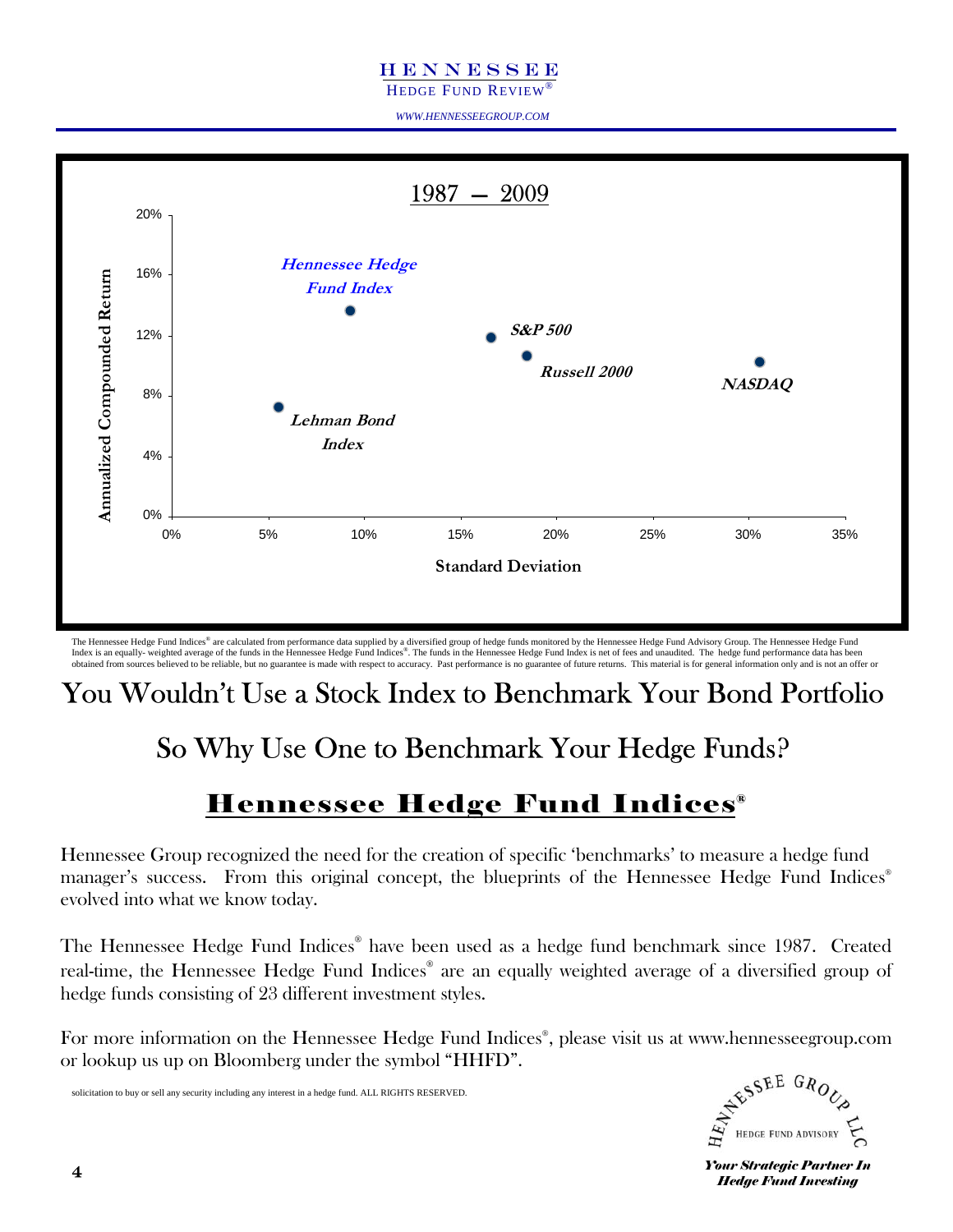HEDGE FUND REVIEW®

*WWW.HENNESSEEGROUP.COM* 



The Hennessee Hedge Fund Indices® are calculated from performance data supplied by a diversified group of hedge funds monitored by the Hennessee Hedge Fund Advisory Group. The Hennessee Hedge Fund Index is an equally- weighted average of the funds in the Hennessee Hedge Fund Indices®. The funds in the Hennessee Hedge Fund Index is net of fees and unaudited. The hedge fund performance data has been obtained from sources believed to be reliable, but no guarantee is made with respect to accuracy. Past performance is no guarantee of future returns. This material is for general information only and is not an offer or

## You Wouldn't Use a Stock Index to Benchmark Your Bond Portfolio

## So Why Use One to Benchmark Your Hedge Funds?

### Hennessee Hedge Fund Indices®

Hennessee Group recognized the need for the creation of specific 'benchmarks' to measure a hedge fund manager's success. From this original concept, the blueprints of the Hennessee Hedge Fund Indices<sup>®</sup> evolved into what we know today.

The Hennessee Hedge Fund Indices® have been used as a hedge fund benchmark since 1987. Created real-time, the Hennessee Hedge Fund Indices® are an equally weighted average of a diversified group of hedge funds consisting of 23 different investment styles.

For more information on the Hennessee Hedge Fund Indices® , please visit us at www.hennesseegroup.com or lookup us up on Bloomberg under the symbol "HHFD".

solicitation to buy or sell any security including any interest in a hedge fund. ALL RIGHTS RESERVED.



**Your Strategic Partner In** *Hedge Fund Investing*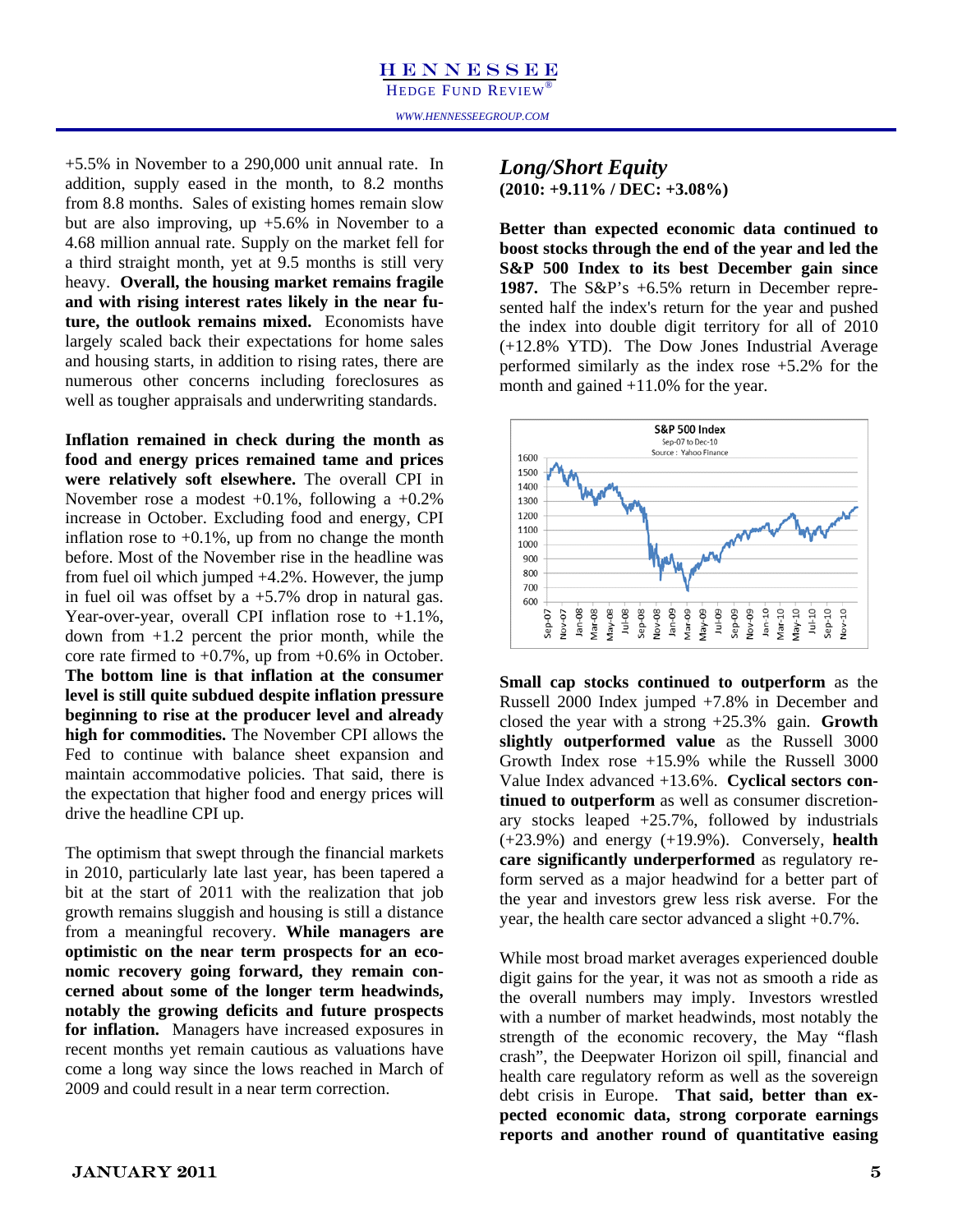+5.5% in November to a 290,000 unit annual rate. In addition, supply eased in the month, to 8.2 months from 8.8 months. Sales of existing homes remain slow but are also improving, up +5.6% in November to a 4.68 million annual rate. Supply on the market fell for a third straight month, yet at 9.5 months is still very heavy. **Overall, the housing market remains fragile and with rising interest rates likely in the near future, the outlook remains mixed.** Economists have largely scaled back their expectations for home sales and housing starts, in addition to rising rates, there are numerous other concerns including foreclosures as well as tougher appraisals and underwriting standards.

**Inflation remained in check during the month as food and energy prices remained tame and prices were relatively soft elsewhere.** The overall CPI in November rose a modest +0.1%, following a +0.2% increase in October. Excluding food and energy, CPI inflation rose to  $+0.1\%$ , up from no change the month before. Most of the November rise in the headline was from fuel oil which jumped +4.2%. However, the jump in fuel oil was offset by a  $+5.7\%$  drop in natural gas. Year-over-year, overall CPI inflation rose to +1.1%, down from  $+1.2$  percent the prior month, while the core rate firmed to  $+0.7\%$ , up from  $+0.6\%$  in October. **The bottom line is that inflation at the consumer level is still quite subdued despite inflation pressure beginning to rise at the producer level and already high for commodities.** The November CPI allows the Fed to continue with balance sheet expansion and maintain accommodative policies. That said, there is the expectation that higher food and energy prices will drive the headline CPI up.

The optimism that swept through the financial markets in 2010, particularly late last year, has been tapered a bit at the start of 2011 with the realization that job growth remains sluggish and housing is still a distance from a meaningful recovery. **While managers are optimistic on the near term prospects for an economic recovery going forward, they remain concerned about some of the longer term headwinds, notably the growing deficits and future prospects for inflation.** Managers have increased exposures in recent months yet remain cautious as valuations have come a long way since the lows reached in March of 2009 and could result in a near term correction.

#### *Long/Short Equity*

**(2010: +9.11% / DEC: +3.08%)** 

**Better than expected economic data continued to boost stocks through the end of the year and led the S&P 500 Index to its best December gain since 1987.** The S&P's +6.5% return in December represented half the index's return for the year and pushed the index into double digit territory for all of 2010 (+12.8% YTD). The Dow Jones Industrial Average performed similarly as the index rose +5.2% for the month and gained +11.0% for the year.



**Small cap stocks continued to outperform** as the Russell 2000 Index jumped +7.8% in December and closed the year with a strong +25.3% gain. **Growth slightly outperformed value** as the Russell 3000 Growth Index rose +15.9% while the Russell 3000 Value Index advanced +13.6%. **Cyclical sectors continued to outperform** as well as consumer discretionary stocks leaped +25.7%, followed by industrials (+23.9%) and energy (+19.9%). Conversely, **health care significantly underperformed** as regulatory reform served as a major headwind for a better part of the year and investors grew less risk averse. For the year, the health care sector advanced a slight +0.7%.

While most broad market averages experienced double digit gains for the year, it was not as smooth a ride as the overall numbers may imply. Investors wrestled with a number of market headwinds, most notably the strength of the economic recovery, the May "flash crash", the Deepwater Horizon oil spill, financial and health care regulatory reform as well as the sovereign debt crisis in Europe. **That said, better than expected economic data, strong corporate earnings reports and another round of quantitative easing**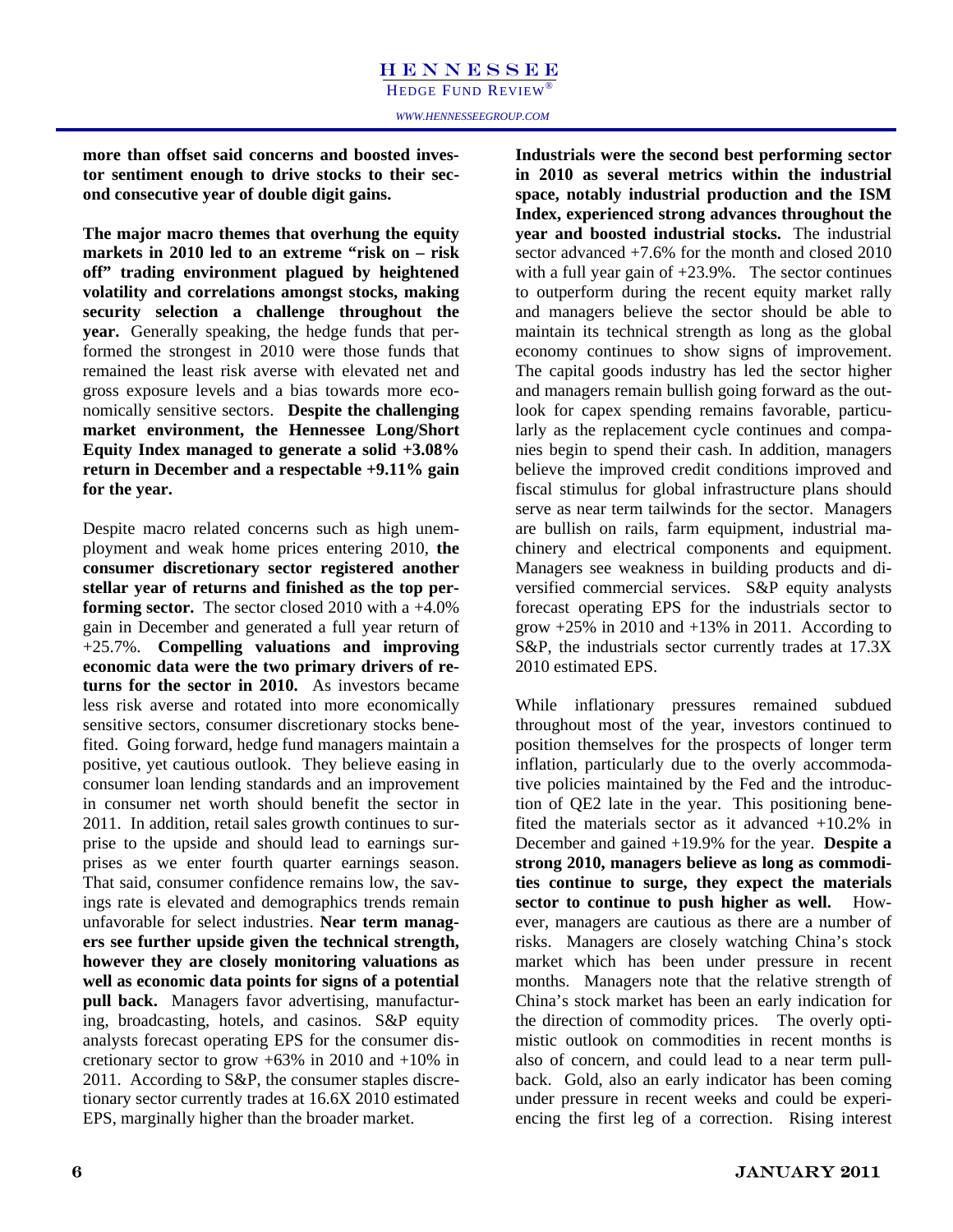**more than offset said concerns and boosted investor sentiment enough to drive stocks to their second consecutive year of double digit gains.** 

**The major macro themes that overhung the equity markets in 2010 led to an extreme "risk on – risk off" trading environment plagued by heightened volatility and correlations amongst stocks, making security selection a challenge throughout the year.** Generally speaking, the hedge funds that performed the strongest in 2010 were those funds that remained the least risk averse with elevated net and gross exposure levels and a bias towards more economically sensitive sectors. **Despite the challenging market environment, the Hennessee Long/Short Equity Index managed to generate a solid +3.08% return in December and a respectable +9.11% gain for the year.** 

Despite macro related concerns such as high unemployment and weak home prices entering 2010, **the consumer discretionary sector registered another stellar year of returns and finished as the top performing sector.** The sector closed 2010 with a +4.0% gain in December and generated a full year return of +25.7%. **Compelling valuations and improving economic data were the two primary drivers of returns for the sector in 2010.** As investors became less risk averse and rotated into more economically sensitive sectors, consumer discretionary stocks benefited. Going forward, hedge fund managers maintain a positive, yet cautious outlook. They believe easing in consumer loan lending standards and an improvement in consumer net worth should benefit the sector in 2011. In addition, retail sales growth continues to surprise to the upside and should lead to earnings surprises as we enter fourth quarter earnings season. That said, consumer confidence remains low, the savings rate is elevated and demographics trends remain unfavorable for select industries. **Near term managers see further upside given the technical strength, however they are closely monitoring valuations as well as economic data points for signs of a potential pull back.** Managers favor advertising, manufacturing, broadcasting, hotels, and casinos. S&P equity analysts forecast operating EPS for the consumer discretionary sector to grow  $+63\%$  in 2010 and  $+10\%$  in 2011. According to S&P, the consumer staples discretionary sector currently trades at 16.6X 2010 estimated EPS, marginally higher than the broader market.

**Industrials were the second best performing sector in 2010 as several metrics within the industrial space, notably industrial production and the ISM Index, experienced strong advances throughout the year and boosted industrial stocks.** The industrial sector advanced +7.6% for the month and closed 2010 with a full year gain of  $+23.9\%$ . The sector continues to outperform during the recent equity market rally and managers believe the sector should be able to maintain its technical strength as long as the global economy continues to show signs of improvement. The capital goods industry has led the sector higher and managers remain bullish going forward as the outlook for capex spending remains favorable, particularly as the replacement cycle continues and companies begin to spend their cash. In addition, managers believe the improved credit conditions improved and fiscal stimulus for global infrastructure plans should serve as near term tailwinds for the sector. Managers are bullish on rails, farm equipment, industrial machinery and electrical components and equipment. Managers see weakness in building products and diversified commercial services. S&P equity analysts forecast operating EPS for the industrials sector to grow  $+25\%$  in 2010 and  $+13\%$  in 2011. According to S&P, the industrials sector currently trades at 17.3X 2010 estimated EPS.

While inflationary pressures remained subdued throughout most of the year, investors continued to position themselves for the prospects of longer term inflation, particularly due to the overly accommodative policies maintained by the Fed and the introduction of QE2 late in the year. This positioning benefited the materials sector as it advanced +10.2% in December and gained +19.9% for the year. **Despite a strong 2010, managers believe as long as commodities continue to surge, they expect the materials sector to continue to push higher as well.** However, managers are cautious as there are a number of risks. Managers are closely watching China's stock market which has been under pressure in recent months. Managers note that the relative strength of China's stock market has been an early indication for the direction of commodity prices. The overly optimistic outlook on commodities in recent months is also of concern, and could lead to a near term pullback. Gold, also an early indicator has been coming under pressure in recent weeks and could be experiencing the first leg of a correction. Rising interest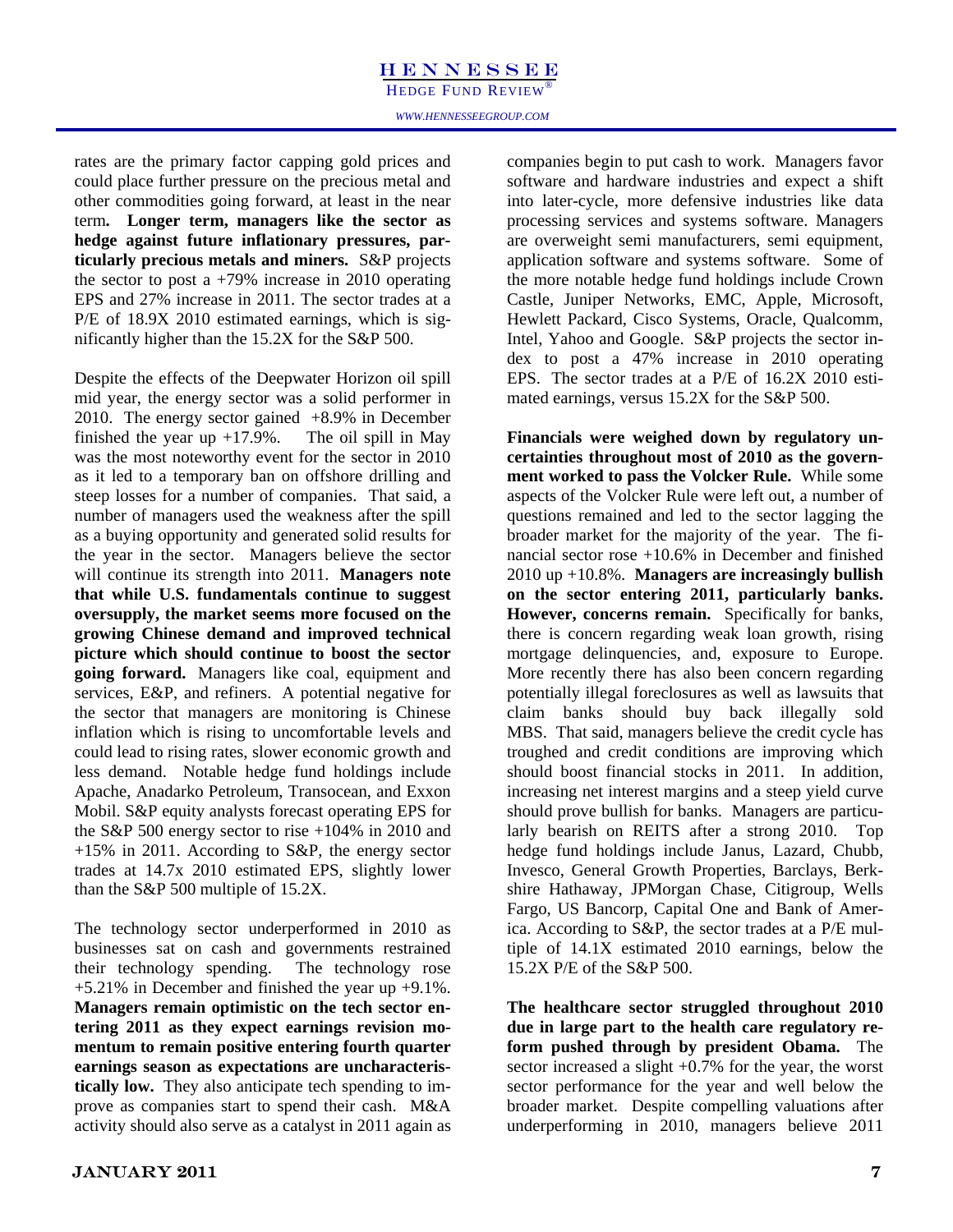HEDGE FUND REVIEW®

*WWW.HENNESSEEGROUP.COM* 

rates are the primary factor capping gold prices and could place further pressure on the precious metal and other commodities going forward, at least in the near term**. Longer term, managers like the sector as hedge against future inflationary pressures, particularly precious metals and miners.** S&P projects the sector to post a  $+79\%$  increase in 2010 operating EPS and 27% increase in 2011. The sector trades at a P/E of 18.9X 2010 estimated earnings, which is significantly higher than the 15.2X for the S&P 500.

Despite the effects of the Deepwater Horizon oil spill mid year, the energy sector was a solid performer in 2010. The energy sector gained +8.9% in December finished the year up  $+17.9\%$ . The oil spill in May was the most noteworthy event for the sector in 2010 as it led to a temporary ban on offshore drilling and steep losses for a number of companies. That said, a number of managers used the weakness after the spill as a buying opportunity and generated solid results for the year in the sector. Managers believe the sector will continue its strength into 2011. **Managers note that while U.S. fundamentals continue to suggest oversupply, the market seems more focused on the growing Chinese demand and improved technical picture which should continue to boost the sector going forward.** Managers like coal, equipment and services, E&P, and refiners. A potential negative for the sector that managers are monitoring is Chinese inflation which is rising to uncomfortable levels and could lead to rising rates, slower economic growth and less demand. Notable hedge fund holdings include Apache, Anadarko Petroleum, Transocean, and Exxon Mobil. S&P equity analysts forecast operating EPS for the S&P 500 energy sector to rise +104% in 2010 and +15% in 2011. According to S&P, the energy sector trades at 14.7x 2010 estimated EPS, slightly lower than the S&P 500 multiple of 15.2X.

The technology sector underperformed in 2010 as businesses sat on cash and governments restrained their technology spending. The technology rose +5.21% in December and finished the year up +9.1%. **Managers remain optimistic on the tech sector entering 2011 as they expect earnings revision momentum to remain positive entering fourth quarter earnings season as expectations are uncharacteristically low.** They also anticipate tech spending to improve as companies start to spend their cash. M&A activity should also serve as a catalyst in 2011 again as companies begin to put cash to work. Managers favor software and hardware industries and expect a shift into later-cycle, more defensive industries like data processing services and systems software. Managers are overweight semi manufacturers, semi equipment, application software and systems software. Some of the more notable hedge fund holdings include Crown Castle, Juniper Networks, EMC, Apple, Microsoft, Hewlett Packard, Cisco Systems, Oracle, Qualcomm, Intel, Yahoo and Google. S&P projects the sector index to post a 47% increase in 2010 operating EPS. The sector trades at a P/E of 16.2X 2010 estimated earnings, versus 15.2X for the S&P 500.

**Financials were weighed down by regulatory uncertainties throughout most of 2010 as the government worked to pass the Volcker Rule.** While some aspects of the Volcker Rule were left out, a number of questions remained and led to the sector lagging the broader market for the majority of the year. The financial sector rose +10.6% in December and finished 2010 up +10.8%. **Managers are increasingly bullish on the sector entering 2011, particularly banks. However, concerns remain.** Specifically for banks, there is concern regarding weak loan growth, rising mortgage delinquencies, and, exposure to Europe. More recently there has also been concern regarding potentially illegal foreclosures as well as lawsuits that claim banks should buy back illegally sold MBS. That said, managers believe the credit cycle has troughed and credit conditions are improving which should boost financial stocks in 2011. In addition, increasing net interest margins and a steep yield curve should prove bullish for banks. Managers are particularly bearish on REITS after a strong 2010. Top hedge fund holdings include Janus, Lazard, Chubb, Invesco, General Growth Properties, Barclays, Berkshire Hathaway, JPMorgan Chase, Citigroup, Wells Fargo, US Bancorp, Capital One and Bank of America. According to S&P, the sector trades at a P/E multiple of 14.1X estimated 2010 earnings, below the 15.2X P/E of the S&P 500.

**The healthcare sector struggled throughout 2010 due in large part to the health care regulatory reform pushed through by president Obama.** The sector increased a slight +0.7% for the year, the worst sector performance for the year and well below the broader market. Despite compelling valuations after underperforming in 2010, managers believe 2011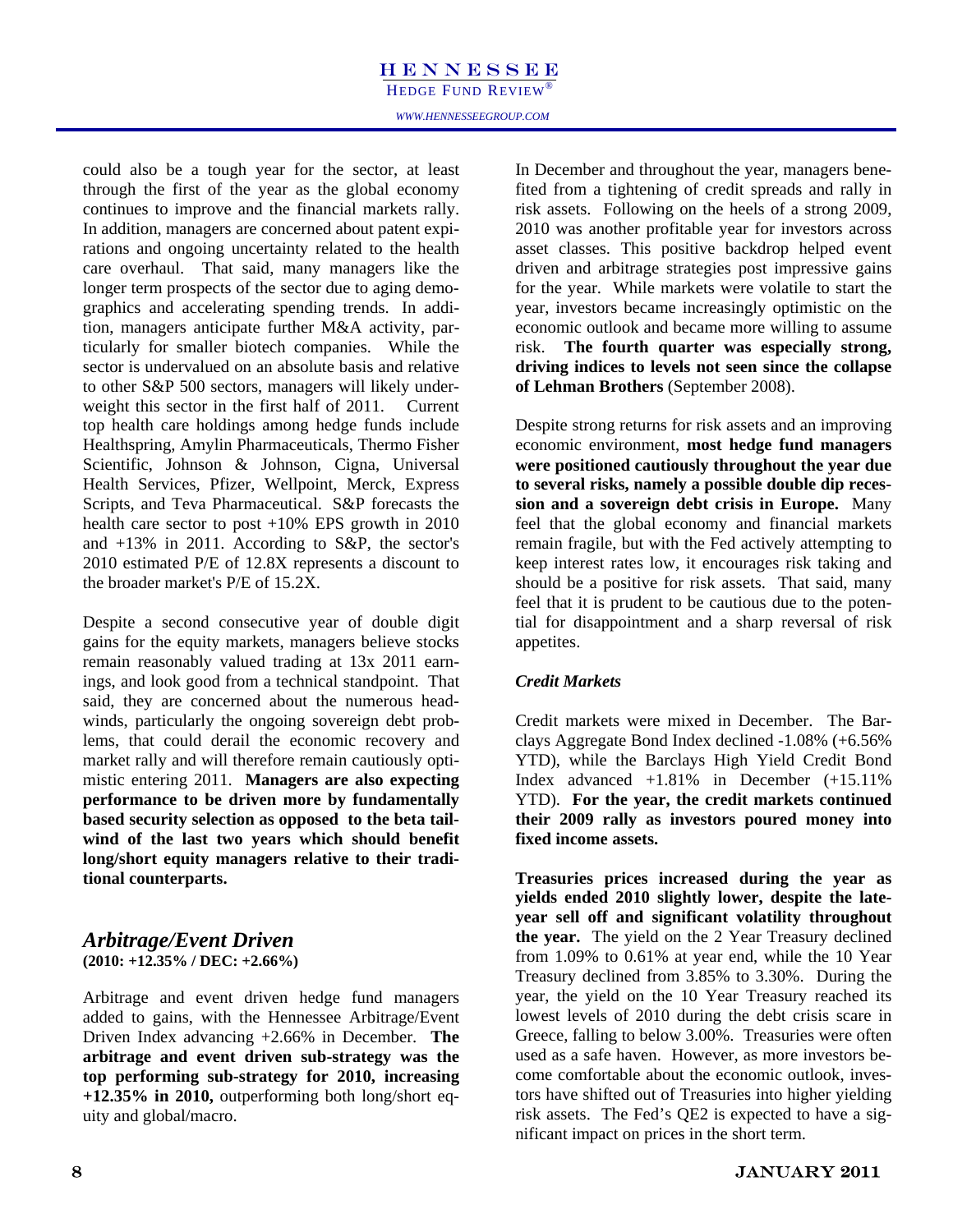HEDGE FUND REVIEW

could also be a tough year for the sector, at least through the first of the year as the global economy continues to improve and the financial markets rally. In addition, managers are concerned about patent expirations and ongoing uncertainty related to the health care overhaul. That said, many managers like the longer term prospects of the sector due to aging demographics and accelerating spending trends. In addition, managers anticipate further M&A activity, particularly for smaller biotech companies. While the sector is undervalued on an absolute basis and relative to other S&P 500 sectors, managers will likely underweight this sector in the first half of 2011. Current top health care holdings among hedge funds include Healthspring, Amylin Pharmaceuticals, Thermo Fisher Scientific, Johnson & Johnson, Cigna, Universal Health Services, Pfizer, Wellpoint, Merck, Express Scripts, and Teva Pharmaceutical. S&P forecasts the health care sector to post +10% EPS growth in 2010 and +13% in 2011. According to S&P, the sector's 2010 estimated P/E of 12.8X represents a discount to the broader market's P/E of 15.2X.

Despite a second consecutive year of double digit gains for the equity markets, managers believe stocks remain reasonably valued trading at 13x 2011 earnings, and look good from a technical standpoint. That said, they are concerned about the numerous headwinds, particularly the ongoing sovereign debt problems, that could derail the economic recovery and market rally and will therefore remain cautiously optimistic entering 2011. **Managers are also expecting performance to be driven more by fundamentally based security selection as opposed to the beta tailwind of the last two years which should benefit long/short equity managers relative to their traditional counterparts.** 

#### *Arbitrage/Event Driven*  **(2010: +12.35% / DEC: +2.66%)**

Arbitrage and event driven hedge fund managers added to gains, with the Hennessee Arbitrage/Event Driven Index advancing +2.66% in December. **The arbitrage and event driven sub-strategy was the top performing sub-strategy for 2010, increasing +12.35% in 2010,** outperforming both long/short equity and global/macro.

In December and throughout the year, managers benefited from a tightening of credit spreads and rally in risk assets. Following on the heels of a strong 2009, 2010 was another profitable year for investors across asset classes. This positive backdrop helped event driven and arbitrage strategies post impressive gains for the year. While markets were volatile to start the year, investors became increasingly optimistic on the economic outlook and became more willing to assume risk. **The fourth quarter was especially strong, driving indices to levels not seen since the collapse of Lehman Brothers** (September 2008).

Despite strong returns for risk assets and an improving economic environment, **most hedge fund managers were positioned cautiously throughout the year due to several risks, namely a possible double dip recession and a sovereign debt crisis in Europe.** Many feel that the global economy and financial markets remain fragile, but with the Fed actively attempting to keep interest rates low, it encourages risk taking and should be a positive for risk assets. That said, many feel that it is prudent to be cautious due to the potential for disappointment and a sharp reversal of risk appetites.

#### *Credit Markets*

Credit markets were mixed in December. The Barclays Aggregate Bond Index declined -1.08% (+6.56% YTD), while the Barclays High Yield Credit Bond Index advanced +1.81% in December (+15.11% YTD). **For the year, the credit markets continued their 2009 rally as investors poured money into fixed income assets.**

**Treasuries prices increased during the year as yields ended 2010 slightly lower, despite the lateyear sell off and significant volatility throughout the year.** The yield on the 2 Year Treasury declined from 1.09% to 0.61% at year end, while the 10 Year Treasury declined from 3.85% to 3.30%. During the year, the yield on the 10 Year Treasury reached its lowest levels of 2010 during the debt crisis scare in Greece, falling to below 3.00%. Treasuries were often used as a safe haven. However, as more investors become comfortable about the economic outlook, investors have shifted out of Treasuries into higher yielding risk assets. The Fed's QE2 is expected to have a significant impact on prices in the short term.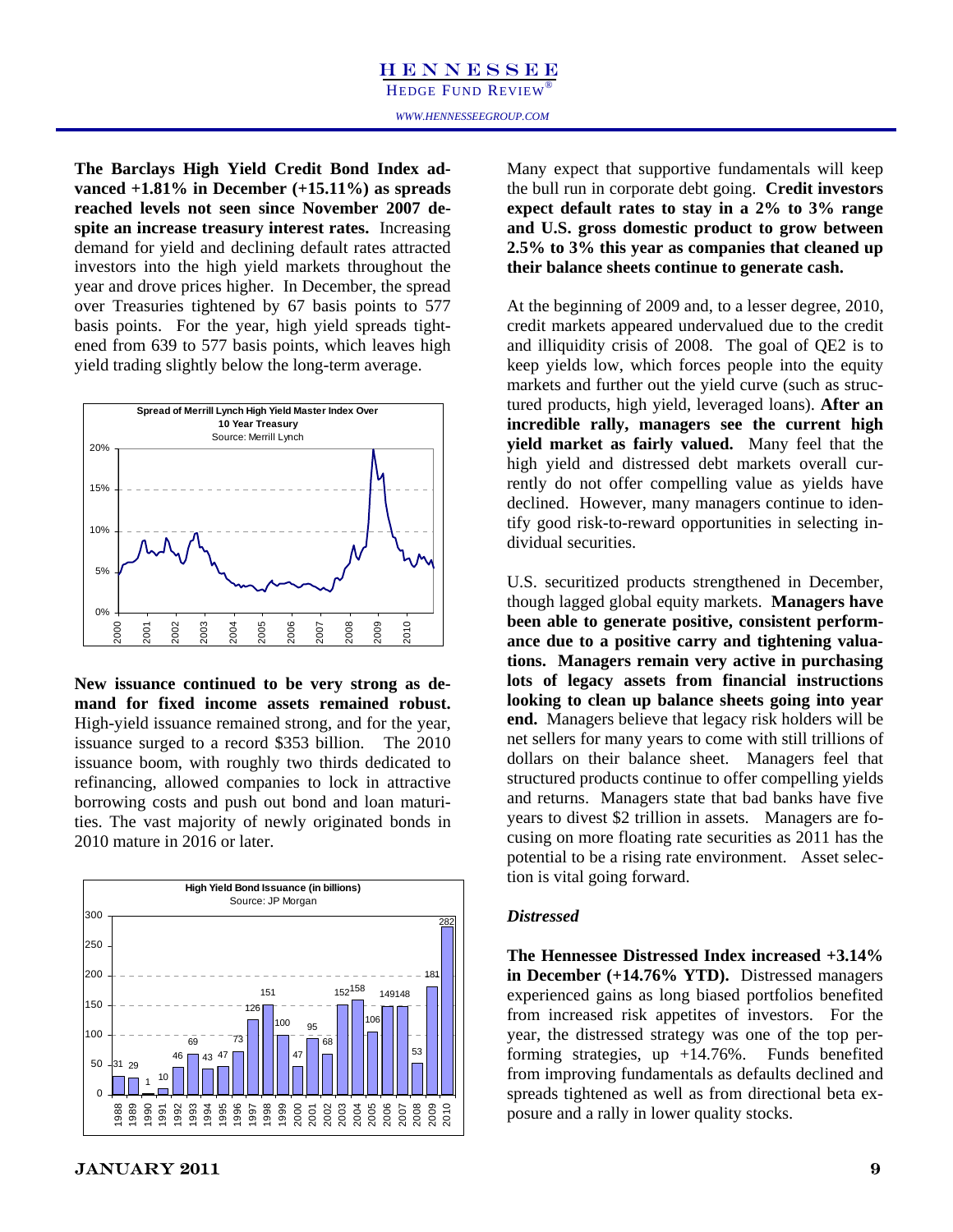vanced +1.81% in December (+15.11%) as spreads **The Barclays High Yield Credit Bond Index adreached levels not seen since November 2007 despite an increase treasury interest rates.** Increasing demand for yield and declining default rates attracted investors into the high yield markets throughout the year and drove prices higher. In December, the spread over Treasuries tightened by 67 basis points to 577 basis points. For the year, high yield spreads tightened from 639 to 577 basis points, which leaves high yield trading slightly below the long-term average.



**New issuance continued to be very strong as demand for fixed income assets remained robust.**  High-yield issuance remained strong, and for the year, issuance surged to a record \$353 billion. The 2010 issuance boom, with roughly two thirds dedicated to refinancing, allowed companies to lock in attractive borrowing costs and push out bond and loan maturities. The vast majority of newly originated bonds in 2010 mature in 2016 or later.



Let the build reflect that supportive fundamentals will keep<br>er (+15.11%) as spreads be bull run in corporate debt going. Credit investors<br>nce November 2007 de-<br>expect default rates to stay in a 2% to 3% range Many expect that supportive fundamentals will keep **expect default rates to stay in a 2% to 3% range and U.S. gross domestic product to grow between 2.5% to 3% this year as companies that cleaned up their balance sheets continue to generate cash.** 

> At the beginning of 2009 and, to a lesser degree, 2010, credit markets appeared undervalued due to the credit and illiquidity crisis of 2008. The goal of QE2 is to keep yields low, which forces people into the equity markets and further out the yield curve (such as structured products, high yield, leveraged loans). **After an incredible rally, managers see the current high yield market as fairly valued.** Many feel that the high yield and distressed debt markets overall currently do not offer compelling value as yields have declined. However, many managers continue to identify good risk-to-reward opportunities in selecting individual securities.

> U.S. securitized products strengthened in December, though lagged global equity markets. **Managers have been able to generate positive, consistent performance due to a positive carry and tightening valuations. Managers remain very active in purchasing lots of legacy assets from financial instructions looking to clean up balance sheets going into year end.** Managers believe that legacy risk holders will be net sellers for many years to come with still trillions of dollars on their balance sheet. Managers feel that structured products continue to offer compelling yields and returns. Managers state that bad banks have five years to divest \$2 trillion in assets. Managers are focusing on more floating rate securities as 2011 has the potential to be a rising rate environment. Asset selection is vital going forward.

#### *Distressed*

**The Hennessee Distressed Index increased +3.14% in December (+14.76% YTD).** Distressed managers experienced gains as long biased portfolios benefited from increased risk appetites of investors. For the year, the distressed strategy was one of the top performing strategies, up  $+14.76\%$ . Funds benefited from improving fundamentals as defaults declined and spreads tightened as well as from directional beta exposure and a rally in lower quality stocks.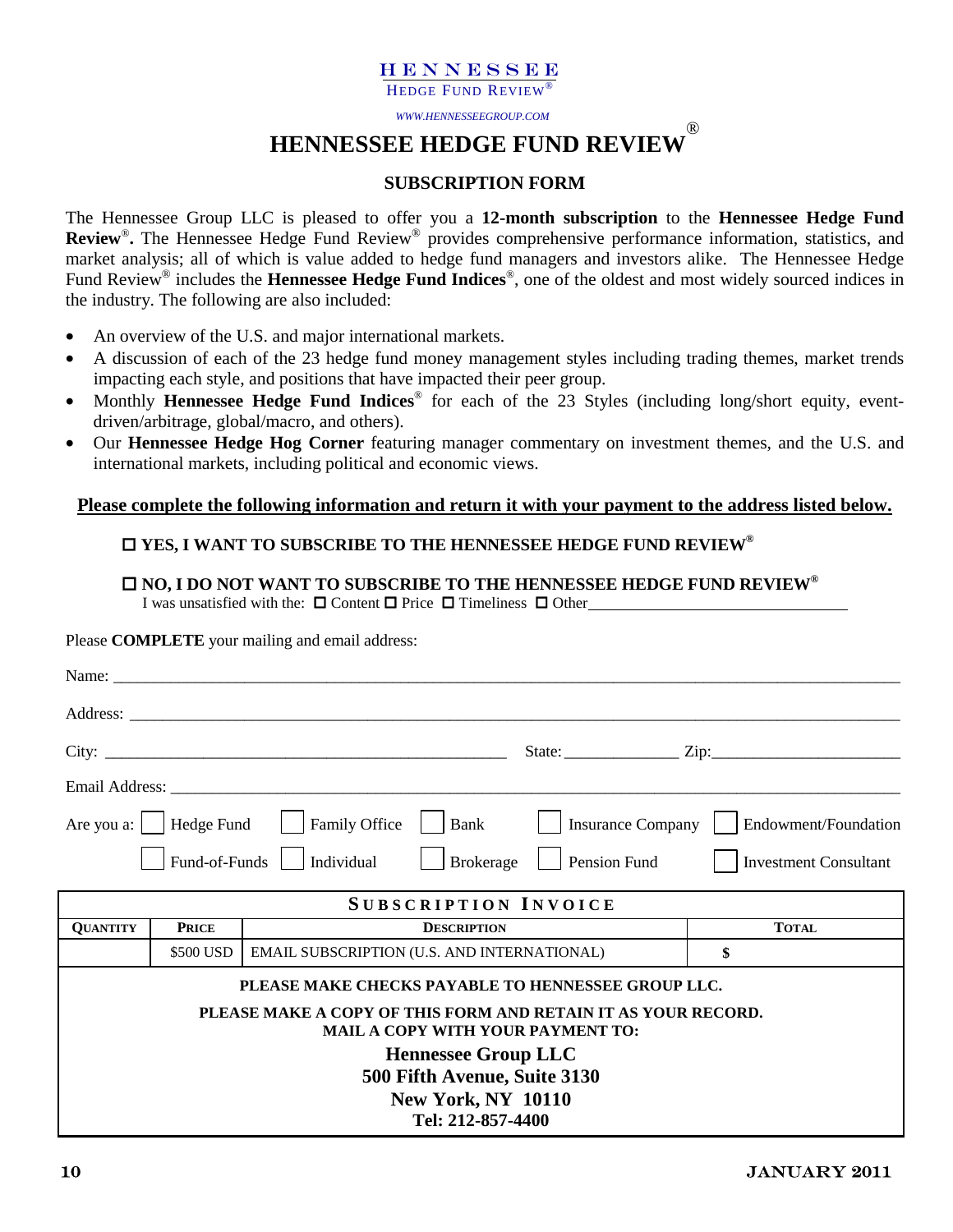HEDGE FUND REVIEW®

*WWW.HENNESSEEGROUP.COM* 

**HENNESSEE HEDGE FUND REVIEW** ®

#### **SUBSCRIPTION FORM**

The Hennessee Group LLC is pleased to offer you a **12-month subscription** to the **Hennessee Hedge Fund Review**®**.** The Hennessee Hedge Fund Review® provides comprehensive performance information, statistics, and market analysis; all of which is value added to hedge fund managers and investors alike. The Hennessee Hedge Fund Review® includes the **Hennessee Hedge Fund Indices**®, one of the oldest and most widely sourced indices in the industry. The following are also included:

- An overview of the U.S. and major international markets.
- A discussion of each of the 23 hedge fund money management styles including trading themes, market trends impacting each style, and positions that have impacted their peer group.
- Monthly **Hennessee Hedge Fund Indices**® for each of the 23 Styles (including long/short equity, eventdriven/arbitrage, global/macro, and others).
- Our **Hennessee Hedge Hog Corner** featuring manager commentary on investment themes, and the U.S. and international markets, including political and economic views.

#### **Please complete the following information and return it with your payment to the address listed below.**

#### **YES, I WANT TO SUBSCRIBE TO THE HENNESSEE HEDGE FUND REVIEW®**

#### □ NO, I DO NOT WANT TO SUBSCRIBE TO THE HENNESSEE HEDGE FUND REVIEW<sup>®</sup>

I was unsatisfied with the:  $\Box$  Content  $\Box$  Price  $\Box$  Timeliness  $\Box$  Other

Please **COMPLETE** your mailing and email address:

|                 |                                       |                                                                                                           | State: <u>Zip:</u> Zip:      |
|-----------------|---------------------------------------|-----------------------------------------------------------------------------------------------------------|------------------------------|
|                 |                                       |                                                                                                           |                              |
|                 | Are you a: $\vert$ Hedge Fund $\vert$ | Family Office<br>Bank<br><b>Insurance Company</b>                                                         | Endowment/Foundation         |
|                 | Fund-of-Funds                         | Individual<br>Pension Fund<br>Brokerage                                                                   | <b>Investment Consultant</b> |
|                 |                                       | <b>SUBSCRIPTION INVOICE</b>                                                                               |                              |
| <b>QUANTITY</b> | <b>PRICE</b>                          | <b>DESCRIPTION</b>                                                                                        | <b>TOTAL</b>                 |
|                 | \$500 USD                             | EMAIL SUBSCRIPTION (U.S. AND INTERNATIONAL)                                                               | \$                           |
|                 |                                       | PLEASE MAKE CHECKS PAYABLE TO HENNESSEE GROUP LLC.                                                        |                              |
|                 |                                       | PLEASE MAKE A COPY OF THIS FORM AND RETAIN IT AS YOUR RECORD.<br><b>MAIL A COPY WITH YOUR PAYMENT TO:</b> |                              |
|                 |                                       | <b>Hennessee Group LLC</b>                                                                                |                              |
|                 |                                       | 500 Fifth Avenue, Suite 3130                                                                              |                              |
|                 |                                       | <b>New York, NY 10110</b><br>Tel: 212-857-4400                                                            |                              |
|                 |                                       |                                                                                                           |                              |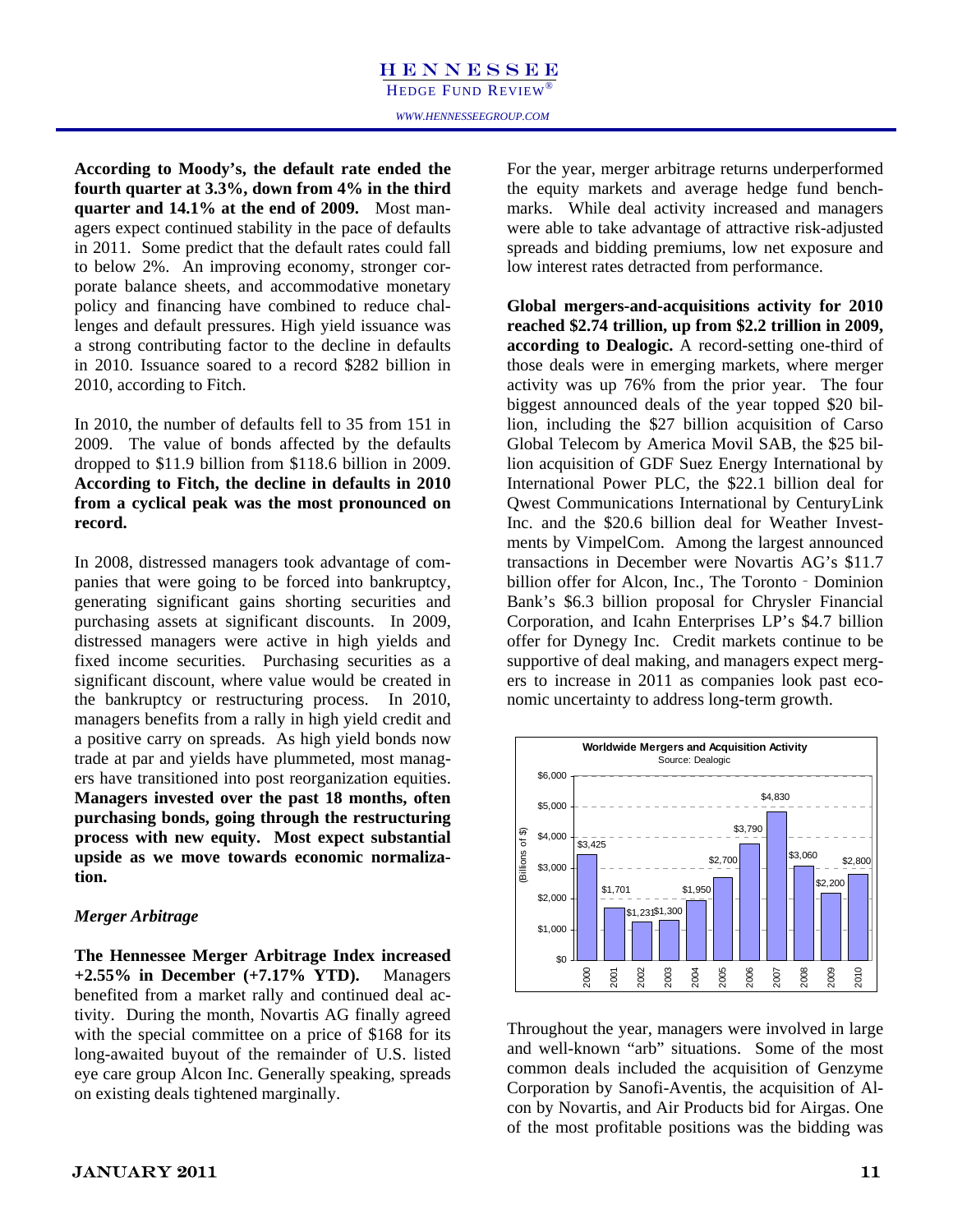$\frac{3}{2}$  ourth quarter at 3.3% According to Moody's, the default rate ended the **For the year, merger arbitrage returns** underperformed<br>
fourth quarter at 3.3%, down from 4% in the third the equity markets and average hedge fund bench-<br>
marks While deal **fourth quarter at 3.3%, down from 4% in the third quarter and 14.1% at the end of 2009.** Most managers expect continued stability in the pace of defaults in 2011. Some predict that the default rates could fall to below 2%. An improving economy, stronger corporate balance sheets, and accommodative monetary policy and financing have combined to reduce challenges and default pressures. High yield issuance was a strong contributing factor to the decline in defaults in 2010. Issuance soared to a record \$282 billion in 2010, according to Fitch.

In 2010, the number of defaults fell to 35 from 151 in 2009. The value of bonds affected by the defaults dropped to \$11.9 billion from \$118.6 billion in 2009. **According to Fitch, the decline in defaults in 2010 from a cyclical peak was the most pronounced on record.** 

In 2008, distressed managers took advantage of companies that were going to be forced into bankruptcy, generating significant gains shorting securities and purchasing assets at significant discounts. In 2009, distressed managers were active in high yields and fixed income securities. Purchasing securities as a significant discount, where value would be created in the bankruptcy or restructuring process. In 2010, managers benefits from a rally in high yield credit and a positive carry on spreads. As high yield bonds now trade at par and yields have plummeted, most managers have transitioned into post reorganization equities. **Managers invested over the past 18 months, often purchasing bonds, going through the restructuring process with new equity. Most expect substantial upside as we move towards economic normalization.** 

#### *Merger Arbitrage*

**The Hennessee Merger Arbitrage Index increased +2.55% in December (+7.17% YTD).** Managers benefited from a market rally and continued deal activity. During the month, Novartis AG finally agreed with the special committee on a price of \$168 for its long-awaited buyout of the remainder of U.S. listed eye care group Alcon Inc. Generally speaking, spreads on existing deals tightened marginally.

For the year, merger arbitrage returns underperformed the equity markets and average hedge fund benchmarks. While deal activity increased and managers were able to take advantage of attractive risk-adjusted spreads and bidding premiums, low net exposure and low interest rates detracted from performance.

**Global mergers-and-acquisitions activity for 2010 reached \$2.74 trillion, up from \$2.2 trillion in 2009, according to Dealogic.** A record-setting one-third of those deals were in emerging markets, where merger activity was up 76% from the prior year. The four biggest announced deals of the year topped \$20 billion, including the \$27 billion acquisition of Carso Global Telecom by America Movil SAB, the \$25 billion acquisition of GDF Suez Energy International by International Power PLC, the \$22.1 billion deal for Qwest Communications International by CenturyLink Inc. and the \$20.6 billion deal for Weather Investments by VimpelCom. Among the largest announced transactions in December were Novartis AG's \$11.7 billion offer for Alcon, Inc., The Toronto - Dominion Bank's \$6.3 billion proposal for Chrysler Financial Corporation, and Icahn Enterprises LP's \$4.7 billion offer for Dynegy Inc. Credit markets continue to be supportive of deal making, and managers expect mergers to increase in 2011 as companies look past economic uncertainty to address long-term growth.



Throughout the year, managers were involved in large and well-known "arb" situations. Some of the most common deals included the acquisition of Genzyme Corporation by Sanofi-Aventis, the acquisition of Alcon by Novartis, and Air Products bid for Airgas. One of the most profitable positions was the bidding was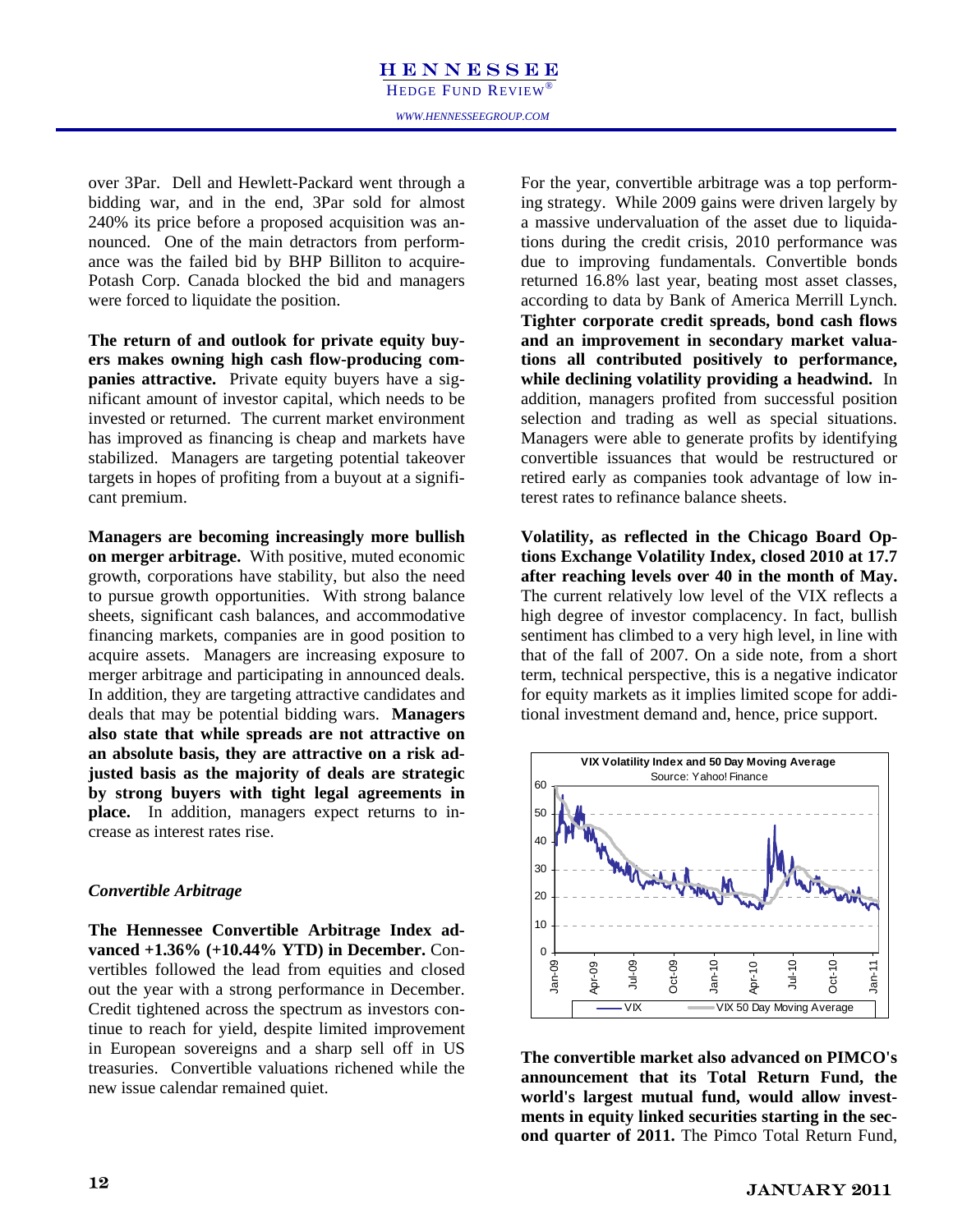#### **HENNESSEE** *WWW.HENNESSEEGROUP.COM*  HEDGE FUND REVIEW®

over 3Par. Dell and Hewlett-Packard went through a bidding war, and in the end, 3Par sold for almost 240% its price before a proposed acquisition was announced. One of the main detractors from performance was the failed bid by BHP Billiton to acquire-Potash Corp. Canada blocked the bid and managers were forced to liquidate the position.

**The return of and outlook for private equity buyers makes owning high cash flow-producing companies attractive.** Private equity buyers have a significant amount of investor capital, which needs to be invested or returned. The current market environment has improved as financing is cheap and markets have stabilized. Managers are targeting potential takeover targets in hopes of profiting from a buyout at a significant premium.

**Managers are becoming increasingly more bullish on merger arbitrage.** With positive, muted economic growth, corporations have stability, but also the need to pursue growth opportunities. With strong balance sheets, significant cash balances, and accommodative financing markets, companies are in good position to acquire assets. Managers are increasing exposure to merger arbitrage and participating in announced deals. In addition, they are targeting attractive candidates and deals that may be potential bidding wars. **Managers also state that while spreads are not attractive on an absolute basis, they are attractive on a risk adjusted basis as the majority of deals are strategic by strong buyers with tight legal agreements in place.** In addition, managers expect returns to increase as interest rates rise.

#### *Convertible Arbitrage*

**The Hennessee Convertible Arbitrage Index advanced +1.36% (+10.44% YTD) in December.** Convertibles followed the lead from equities and closed out the year with a strong performance in December. Credit tightened across the spectrum as investors continue to reach for yield, despite limited improvement in European sovereigns and a sharp sell off in US treasuries. Convertible valuations richened while the new issue calendar remained quiet.

For the year, convertible arbitrage was a top performing strategy. While 2009 gains were driven largely by a massive undervaluation of the asset due to liquidations during the credit crisis, 2010 performance was due to improving fundamentals. Convertible bonds returned 16.8% last year, beating most asset classes, according to data by Bank of America Merrill Lynch. **Tighter corporate credit spreads, bond cash flows and an improvement in secondary market valuations all contributed positively to performance, while declining volatility providing a headwind.** In addition, managers profited from successful position selection and trading as well as special situations. Managers were able to generate profits by identifying convertible issuances that would be restructured or retired early as companies took advantage of low interest rates to refinance balance sheets.

**Volatility, as reflected in the Chicago Board Options Exchange Volatility Index, closed 2010 at 17.7 after reaching levels over 40 in the month of May.** The current relatively low level of the VIX reflects a high degree of investor complacency. In fact, bullish sentiment has climbed to a very high level, in line with that of the fall of 2007. On a side note, from a short term, technical perspective, this is a negative indicator for equity markets as it implies limited scope for additional investment demand and, hence, price support.



**The convertible market also advanced on PIMCO's announcement that its Total Return Fund, the world's largest mutual fund, would allow investments in equity linked securities starting in the second quarter of 2011.** The Pimco Total Return Fund,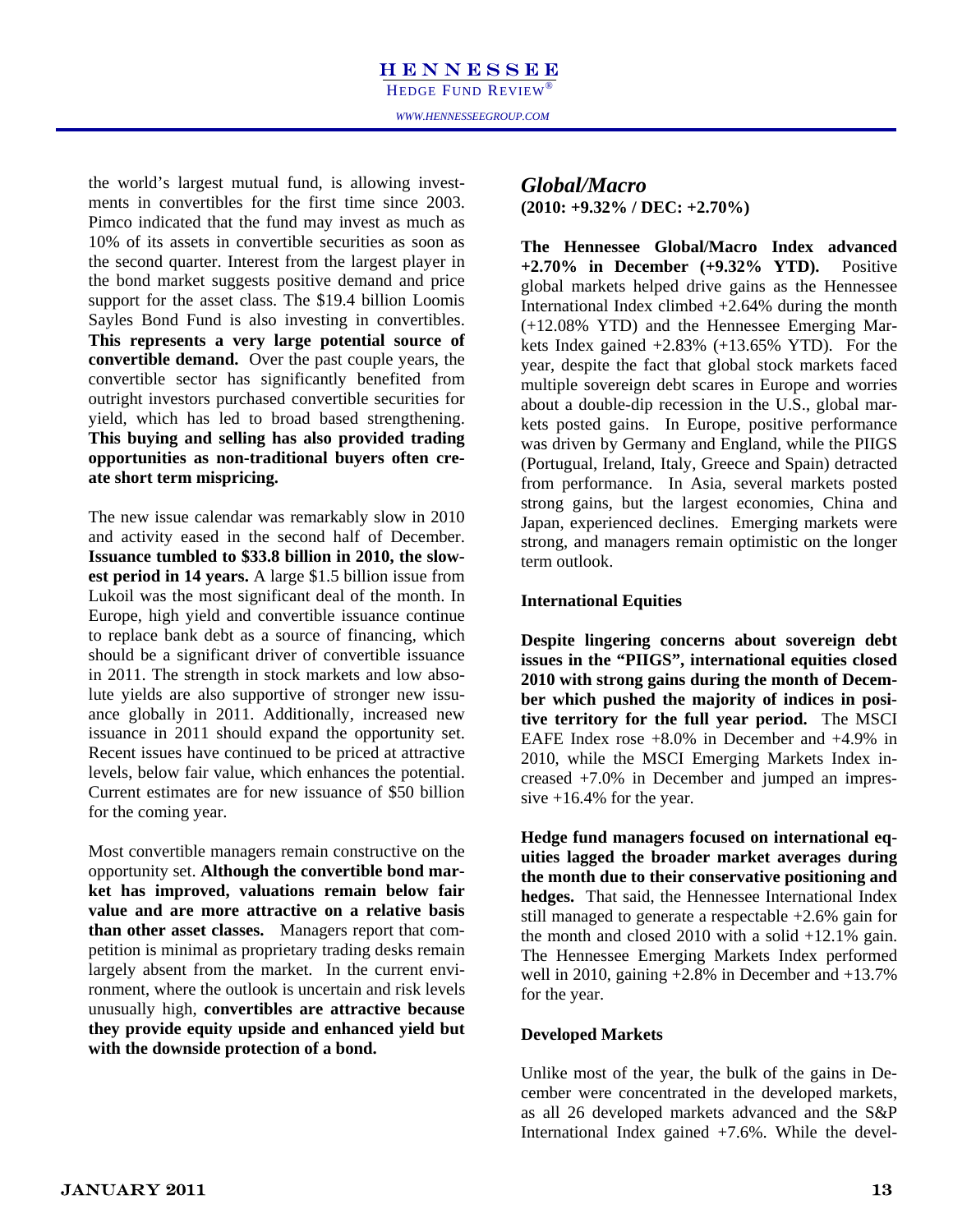the world's largest mutual fund, is allowing investments in convertibles for the first time since 2003. Pimco indicated that the fund may invest as much as 10% of its assets in convertible securities as soon as the second quarter. Interest from the largest player in the bond market suggests positive demand and price support for the asset class. The \$19.4 billion Loomis Sayles Bond Fund is also investing in convertibles. **This represents a very large potential source of convertible demand.** Over the past couple years, the convertible sector has significantly benefited from outright investors purchased convertible securities for yield, which has led to broad based strengthening. **This buying and selling has also provided trading opportunities as non-traditional buyers often create short term mispricing.** 

The new issue calendar was remarkably slow in 2010 and activity eased in the second half of December. **Issuance tumbled to \$33.8 billion in 2010, the slowest period in 14 years.** A large \$1.5 billion issue from Lukoil was the most significant deal of the month. In Europe, high yield and convertible issuance continue to replace bank debt as a source of financing, which should be a significant driver of convertible issuance in 2011. The strength in stock markets and low absolute yields are also supportive of stronger new issuance globally in 2011. Additionally, increased new issuance in 2011 should expand the opportunity set. Recent issues have continued to be priced at attractive levels, below fair value, which enhances the potential. Current estimates are for new issuance of \$50 billion for the coming year.

Most convertible managers remain constructive on the opportunity set. **Although the convertible bond market has improved, valuations remain below fair value and are more attractive on a relative basis than other asset classes.** Managers report that competition is minimal as proprietary trading desks remain largely absent from the market. In the current environment, where the outlook is uncertain and risk levels unusually high, **convertibles are attractive because they provide equity upside and enhanced yield but with the downside protection of a bond.**

#### If fund, is allowing invest-<br>the first time since 2003.  $\frac{Global/Macc}{(2010: +9.32\% / DEC: +2.70\%)}$ *Global/Macro*

**The Hennessee Global/Macro Index advanced +2.70% in December (+9.32% YTD).** Positive global markets helped drive gains as the Hennessee International Index climbed  $+2.64\%$  during the month (+12.08% YTD) and the Hennessee Emerging Markets Index gained  $+2.83\%$  ( $+13.65\%$  YTD). For the year, despite the fact that global stock markets faced multiple sovereign debt scares in Europe and worries about a double-dip recession in the U.S., global markets posted gains. In Europe, positive performance was driven by Germany and England, while the PIIGS (Portugual, Ireland, Italy, Greece and Spain) detracted from performance. In Asia, several markets posted strong gains, but the largest economies, China and Japan, experienced declines. Emerging markets were strong, and managers remain optimistic on the longer term outlook.

#### **International Equities**

**Despite lingering concerns about sovereign debt issues in the "PIIGS", international equities closed 2010 with strong gains during the month of December which pushed the majority of indices in positive territory for the full year period.** The MSCI EAFE Index rose +8.0% in December and +4.9% in 2010, while the MSCI Emerging Markets Index increased +7.0% in December and jumped an impressive  $+16.4\%$  for the year.

**Hedge fund managers focused on international equities lagged the broader market averages during the month due to their conservative positioning and hedges.** That said, the Hennessee International Index still managed to generate a respectable +2.6% gain for the month and closed 2010 with a solid  $+12.1\%$  gain. The Hennessee Emerging Markets Index performed well in 2010, gaining +2.8% in December and +13.7% for the year.

#### **Developed Markets**

Unlike most of the year, the bulk of the gains in December were concentrated in the developed markets, as all 26 developed markets advanced and the S&P International Index gained +7.6%. While the devel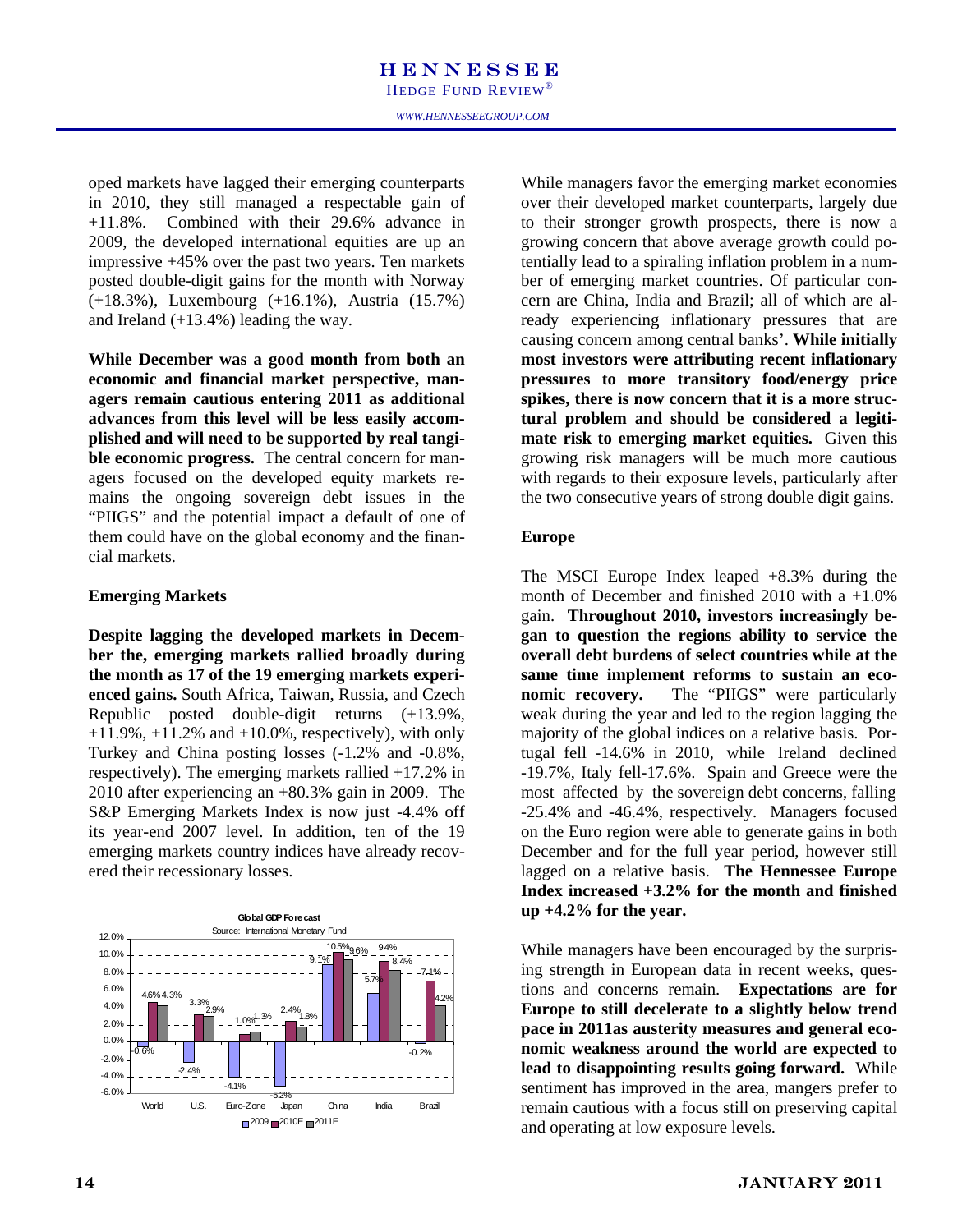oped markets have lagged their emerging counterparts in 2010, they still managed a respectable gain of +11.8%. Combined with their 29.6% advance in 2009, the developed international equities are up an impressive +45% over the past two years. Ten markets posted double-digit gains for the month with Norway (+18.3%), Luxembourg (+16.1%), Austria (15.7%) and Ireland (+13.4%) leading the way.

**While December was a good month from both an economic and financial market perspective, managers remain cautious entering 2011 as additional advances from this level will be less easily accomplished and will need to be supported by real tangible economic progress.** The central concern for managers focused on the developed equity markets remains the ongoing sovereign debt issues in the "PIIGS" and the potential impact a default of one of them could have on the global economy and the financial markets.

#### **Emerging Markets**

**Despite lagging the developed markets in December the, emerging markets rallied broadly during the month as 17 of the 19 emerging markets experienced gains.** South Africa, Taiwan, Russia, and Czech Republic posted double-digit returns (+13.9%,  $+11.9\%$ ,  $+11.2\%$  and  $+10.0\%$ , respectively), with only Turkey and China posting losses (-1.2% and -0.8%, respectively). The emerging markets rallied +17.2% in 2010 after experiencing an +80.3% gain in 2009. The S&P Emerging Markets Index is now just -4.4% off its year-end 2007 level. In addition, ten of the 19 emerging markets country indices have already recovered their recessionary losses.

**Global GDP Forecast** International Monetary Fund 12.0% 10.5% 9.4%  $96%$ 10.0% 9.1% 8.4% 8.0% 7.1% 5.7% 6.0% 4.6% 4.3% 4.6% 4.3%<br> $\frac{3.3\%}{\#}$  - -  $\frac{3.3\%}{\#}$  - - - - - - - - 2.4% 4.2% 4.0% 1.0% 1.3% 1.8% 2.9% 2.0% c 0.0% -0.6% -0.2% -2.0%  $-2.4\%$ -4.0%  $-4.1%$ -6.0% -5.2% World U.S. Euro-Zone Japan China India Brazil

While managers favor the emerging market economies over their developed market counterparts, largely due to their stronger growth prospects, there is now a growing concern that above average growth could potentially lead to a spiraling inflation problem in a number of emerging market countries. Of particular concern are China, India and Brazil; all of which are already experiencing inflationary pressures that are causing concern among central banks'. **While initially most investors were attributing recent inflationary pressures to more transitory food/energy price spikes, there is now concern that it is a more structural problem and should be considered a legitimate risk to emerging market equities.** Given this growing risk managers will be much more cautious with regards to their exposure levels, particularly after the two consecutive years of strong double digit gains.

#### **Europe**

The MSCI Europe Index leaped +8.3% during the month of December and finished 2010 with a  $+1.0\%$ gain. **Throughout 2010, investors increasingly began to question the regions ability to service the overall debt burdens of select countries while at the same time implement reforms to sustain an economic recovery.** The "PIIGS" were particularly weak during the year and led to the region lagging the majority of the global indices on a relative basis. Portugal fell -14.6% in 2010, while Ireland declined -19.7%, Italy fell-17.6%. Spain and Greece were the most affected by the sovereign debt concerns, falling -25.4% and -46.4%, respectively. Managers focused on the Euro region were able to generate gains in both December and for the full year period, however still lagged on a relative basis. **The Hennessee Europe Index increased +3.2% for the month and finished up +4.2% for the year.** 

While managers have been encouraged by the surprising strength in European data in recent weeks, questions and concerns remain. **Expectations are for Europe to still decelerate to a slightly below trend pace in 2011as austerity measures and general economic weakness around the world are expected to lead to disappointing results going forward.** While sentiment has improved in the area, mangers prefer to remain cautious with a focus still on preserving capital and operating at low exposure levels.

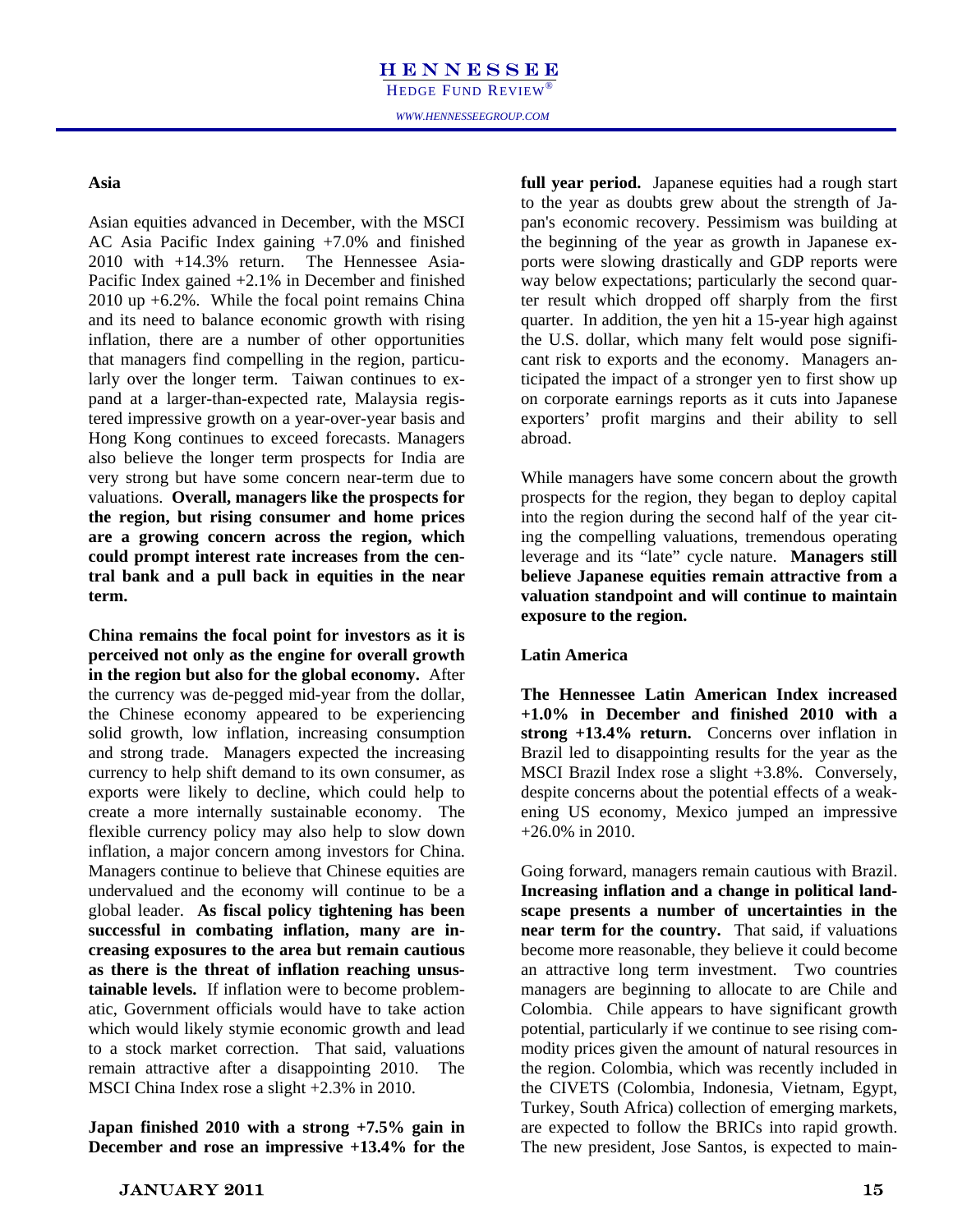#### Asia **Asia Asia Asia Asia Asia Asia H**old **Fund Investigation**

Asian equities advanced in December, with the MSCI AC Asia Pacific Index gaining +7.0% and finished 2010 with +14.3% return. The Hennessee Asia-Pacific Index gained +2.1% in December and finished 2010 up +6.2%. While the focal point remains China and its need to balance economic growth with rising inflation, there are a number of other opportunities that managers find compelling in the region, particularly over the longer term. Taiwan continues to expand at a larger-than-expected rate, Malaysia registered impressive growth on a year-over-year basis and Hong Kong continues to exceed forecasts. Managers also believe the longer term prospects for India are very strong but have some concern near-term due to valuations. **Overall, managers like the prospects for the region, but rising consumer and home prices are a growing concern across the region, which could prompt interest rate increases from the central bank and a pull back in equities in the near term.** 

**China remains the focal point for investors as it is perceived not only as the engine for overall growth in the region but also for the global economy.** After the currency was de-pegged mid-year from the dollar, the Chinese economy appeared to be experiencing solid growth, low inflation, increasing consumption and strong trade. Managers expected the increasing currency to help shift demand to its own consumer, as exports were likely to decline, which could help to create a more internally sustainable economy. The flexible currency policy may also help to slow down inflation, a major concern among investors for China. Managers continue to believe that Chinese equities are undervalued and the economy will continue to be a global leader. **As fiscal policy tightening has been successful in combating inflation, many are increasing exposures to the area but remain cautious as there is the threat of inflation reaching unsustainable levels.** If inflation were to become problematic, Government officials would have to take action which would likely stymie economic growth and lead to a stock market correction. That said, valuations remain attractive after a disappointing 2010. The MSCI China Index rose a slight +2.3% in 2010.

**Japan finished 2010 with a strong +7.5% gain in December and rose an impressive +13.4% for the** 

full year period. Japanese equities had a rough start<br>to the year as doubts grew about the strength of Ja**full year period.** Japanese equities had a rough start pan's economic recovery. Pessimism was building at the beginning of the year as growth in Japanese exports were slowing drastically and GDP reports were way below expectations; particularly the second quarter result which dropped off sharply from the first quarter. In addition, the yen hit a 15-year high against the U.S. dollar, which many felt would pose significant risk to exports and the economy. Managers anticipated the impact of a stronger yen to first show up on corporate earnings reports as it cuts into Japanese exporters' profit margins and their ability to sell abroad.

> prospects for the region, they began to deploy capital into the region during the second half of the year citvaluation standpoint and will continue to maintain believe Japanese equities remain attractive from a ing the compelling valuations, tremendous operating While managers have some concern about the growth leverage and its "late" cycle nature. **Managers still exposure to the region.**

#### <u>200</u> **Latin America**

The Hennessee Latin American Index increased +1.0% in December and finished 2010 with a **strong +13.4% return.** Concerns over inflation in Brazil led to disappointing results for the year as the MSCI Brazil Index rose a slight +3.8%. Conversely, despite concerns about the potential effects of a weakening US economy, Mexico jumped an impressive +26.0% in 2010.

Going forward, managers remain cautious with Brazil. **Increasing inflation and a change in political landscape presents a number of uncertainties in the near term for the country.** That said, if valuations become more reasonable, they believe it could become an attractive long term investment. Two countries managers are beginning to allocate to are Chile and Colombia. Chile appears to have significant growth potential, particularly if we continue to see rising commodity prices given the amount of natural resources in the region. Colombia, which was recently included in the CIVETS (Colombia, Indonesia, Vietnam, Egypt, Turkey, South Africa) collection of emerging markets, are expected to follow the BRICs into rapid growth. The new president, Jose Santos, is expected to main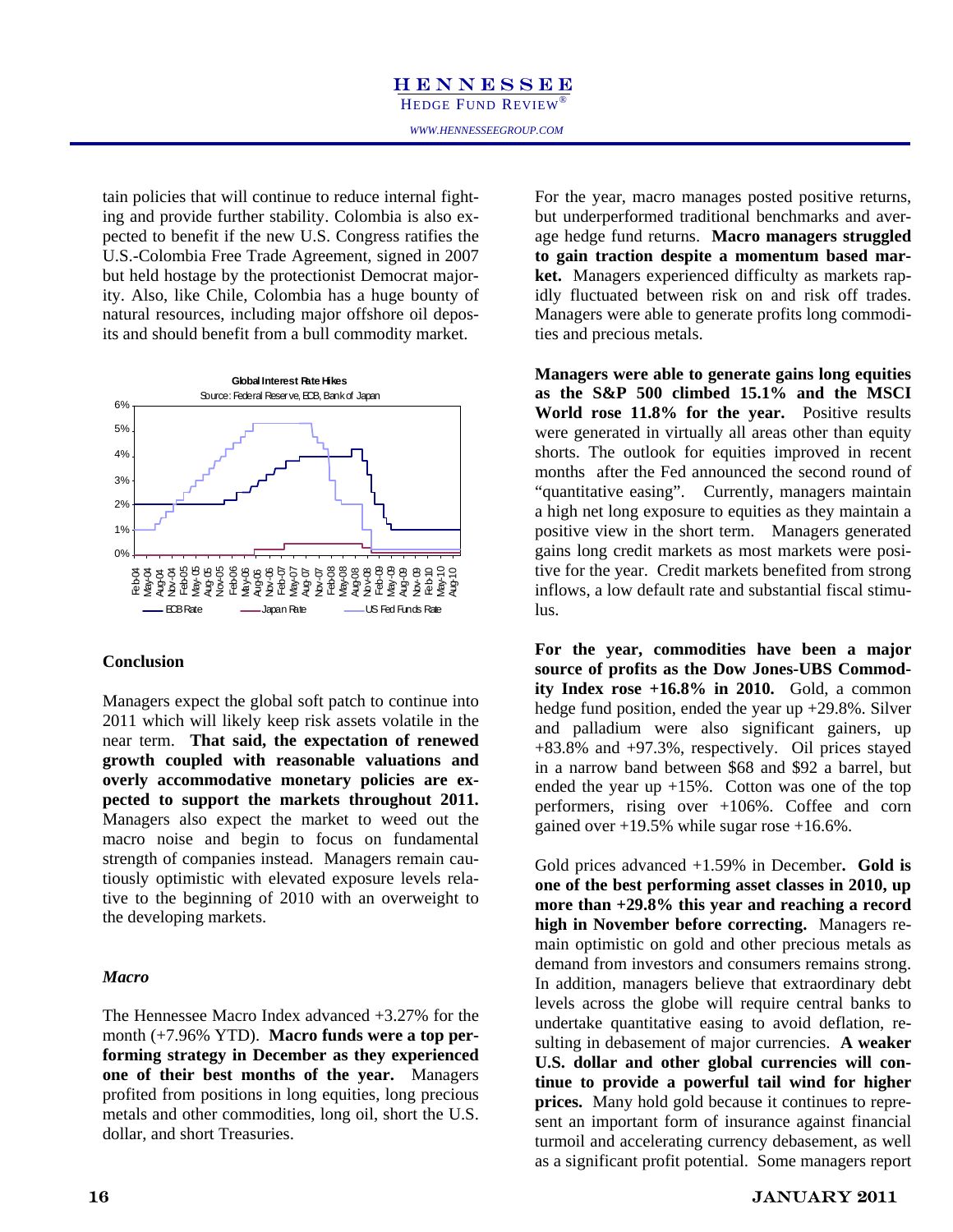tain policies that will continue to reduce internal fighting and provide further stability. Colombia is also expected to benefit if the new U.S. Congress ratifies the U.S.-Colombia Free Trade Agreement, signed in 2007 but held hostage by the protectionist Democrat majority. Also, like Chile, Colombia has a huge bounty of natural resources, including major offshore oil deposits and should benefit from a bull commodity market.



#### **Conclusion**

Managers expect the global soft patch to continue into 2011 which will likely keep risk assets volatile in the near term. **That said, the expectation of renewed growth coupled with reasonable valuations and overly accommodative monetary policies are expected to support the markets throughout 2011.**  Managers also expect the market to weed out the macro noise and begin to focus on fundamental strength of companies instead. Managers remain cautiously optimistic with elevated exposure levels relative to the beginning of 2010 with an overweight to the developing markets.

#### *Macro*

The Hennessee Macro Index advanced +3.27% for the month (+7.96% YTD). **Macro funds were a top performing strategy in December as they experienced one of their best months of the year.** Managers profited from positions in long equities, long precious metals and other commodities, long oil, short the U.S. dollar, and short Treasuries.

For the year, macro manages posted positive returns, but underperformed traditional benchmarks and average hedge fund returns. **Macro managers struggled to gain traction despite a momentum based market.** Managers experienced difficulty as markets rapidly fluctuated between risk on and risk off trades. Managers were able to generate profits long commodities and precious metals.

**Managers were able to generate gains long equities as the S&P 500 climbed 15.1% and the MSCI**  World rose 11.8% for the year. Positive results were generated in virtually all areas other than equity shorts. The outlook for equities improved in recent months after the Fed announced the second round of "quantitative easing". Currently, managers maintain a high net long exposure to equities as they maintain a positive view in the short term. Managers generated gains long credit markets as most markets were positive for the year. Credit markets benefited from strong inflows, a low default rate and substantial fiscal stimulus.

**For the year, commodities have been a major source of profits as the Dow Jones-UBS Commodity Index rose +16.8% in 2010.** Gold, a common hedge fund position, ended the year up +29.8%. Silver and palladium were also significant gainers, up +83.8% and +97.3%, respectively. Oil prices stayed in a narrow band between \$68 and \$92 a barrel, but ended the year up  $+15\%$ . Cotton was one of the top performers, rising over +106%. Coffee and corn gained over  $+19.5\%$  while sugar rose  $+16.6\%$ .

Gold prices advanced +1.59% in December**. Gold is one of the best performing asset classes in 2010, up more than +29.8% this year and reaching a record high in November before correcting.** Managers remain optimistic on gold and other precious metals as demand from investors and consumers remains strong. In addition, managers believe that extraordinary debt levels across the globe will require central banks to undertake quantitative easing to avoid deflation, resulting in debasement of major currencies. **A weaker U.S. dollar and other global currencies will continue to provide a powerful tail wind for higher prices.** Many hold gold because it continues to represent an important form of insurance against financial turmoil and accelerating currency debasement, as well as a significant profit potential. Some managers report

#### 126 FEBRUARY 2006 January 2011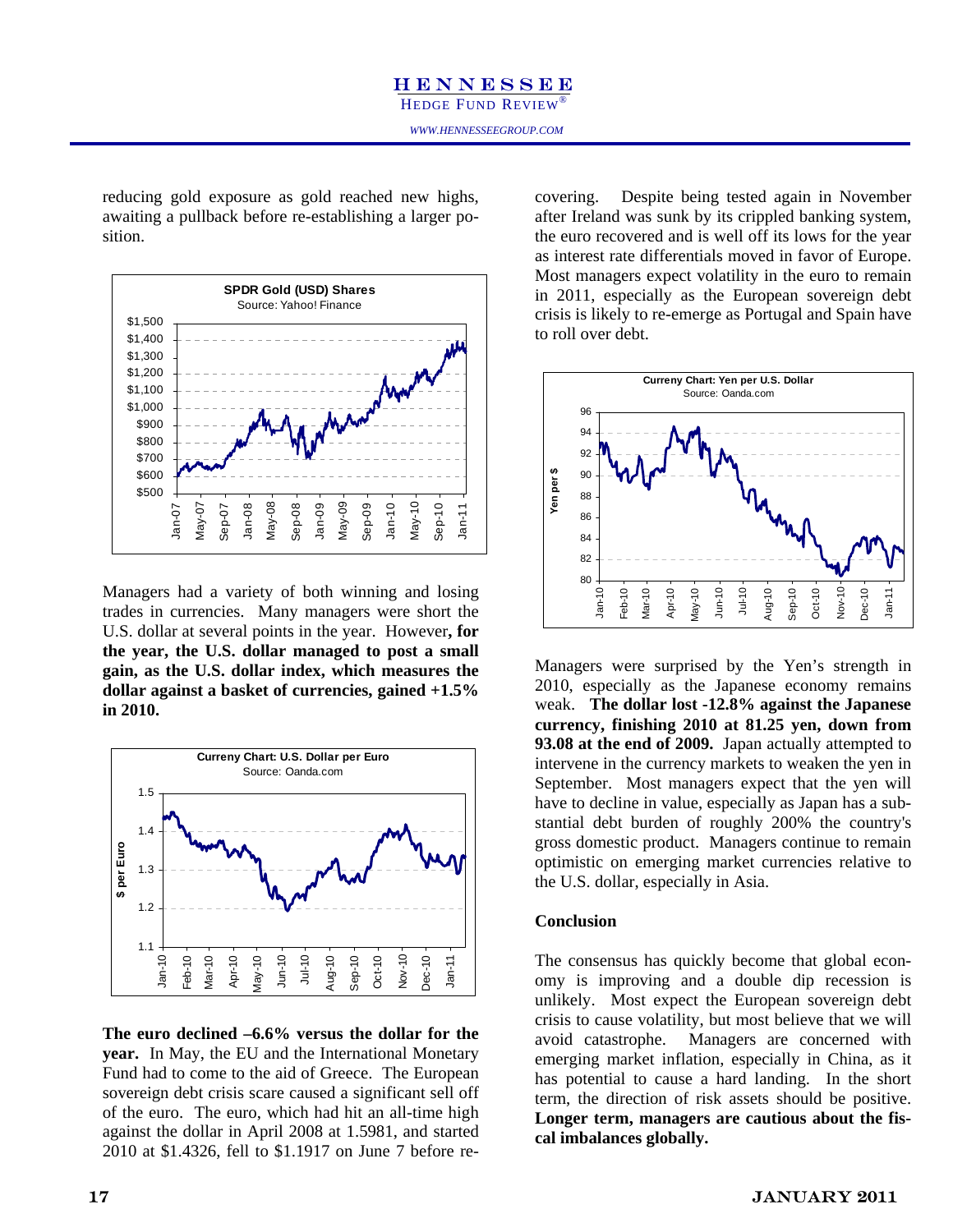reducing gold exposure as gold reached new highs, awaiting a pullback before re-establishing a larger position.



Managers had a variety of both winning and losing trades in currencies. Many managers were short the U.S. dollar at several points in the year. However**, for the year, the U.S. dollar managed to post a small gain, as the U.S. dollar index, which measures the dollar against a basket of currencies, gained +1.5% in 2010.**



**The euro declined –6.6% versus the dollar for the year.** In May, the EU and the International Monetary Fund had to come to the aid of Greece. The European sovereign debt crisis scare caused a significant sell off of the euro. The euro, which had hit an all-time high against the dollar in April 2008 at 1.5981, and started 2010 at \$1.4326, fell to \$1.1917 on June 7 before re-

as gold reached new highs, covering. Despite being tested again in November after Ireland was sunk by its crippled banking system, the euro recovered and is well off its lows for the year as interest rate differentials moved in favor of Europe. Most managers expect volatility in the euro to remain in 2011, especially as the European sovereign debt crisis is likely to re-emerge as Portugal and Spain have to roll over debt.



Managers were surprised by the Yen's strength in 2010, especially as the Japanese economy remains weak. **The dollar lost -12.8% against the Japanese currency, finishing 2010 at 81.25 yen, down from 93.08 at the end of 2009.** Japan actually attempted to intervene in the currency markets to weaken the yen in September. Most managers expect that the yen will have to decline in value, especially as Japan has a substantial debt burden of roughly 200% the country's gross domestic product. Managers continue to remain optimistic on emerging market currencies relative to the U.S. dollar, especially in Asia.

#### **Conclusion**

The consensus has quickly become that global economy is improving and a double dip recession is unlikely. Most expect the European sovereign debt crisis to cause volatility, but most believe that we will avoid catastrophe. Managers are concerned with emerging market inflation, especially in China, as it has potential to cause a hard landing. In the short term, the direction of risk assets should be positive. **Longer term, managers are cautious about the fiscal imbalances globally.**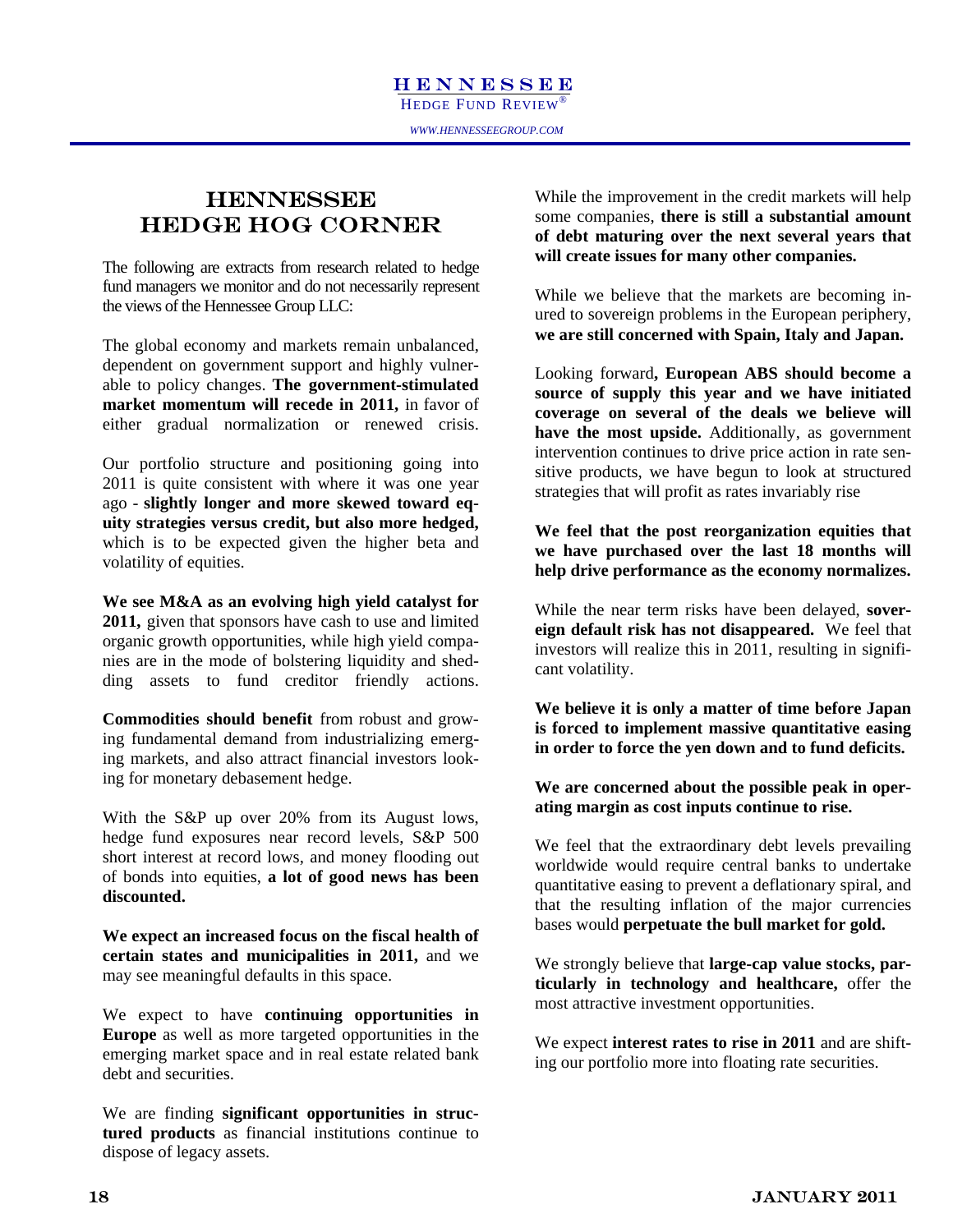#### **HENNESSEE** HEDGE HOG CORNER

The following are extracts from research related to hedge fund managers we monitor and do not necessarily represent the views of the Hennessee Group LLC:

The global economy and markets remain unbalanced, dependent on government support and highly vulnerable to policy changes. **The government-stimulated**  market momentum will recede in 2011, in favor of either gradual normalization or renewed crisis.

Our portfolio structure and positioning going into 2011 is quite consistent with where it was one year ago - **slightly longer and more skewed toward equity strategies versus credit, but also more hedged,**  which is to be expected given the higher beta and volatility of equities.

**We see M&A as an evolving high yield catalyst for 2011,** given that sponsors have cash to use and limited organic growth opportunities, while high yield companies are in the mode of bolstering liquidity and shedding assets to fund creditor friendly actions.

**Commodities should benefit** from robust and growing fundamental demand from industrializing emerging markets, and also attract financial investors looking for monetary debasement hedge.

With the S&P up over 20% from its August lows, hedge fund exposures near record levels, S&P 500 short interest at record lows, and money flooding out of bonds into equities, **a lot of good news has been discounted.**

**We expect an increased focus on the fiscal health of certain states and municipalities in 2011,** and we may see meaningful defaults in this space.

We expect to have **continuing opportunities in Europe** as well as more targeted opportunities in the emerging market space and in real estate related bank debt and securities.

We are finding **significant opportunities in structured products** as financial institutions continue to dispose of legacy assets.

While the improvement in the credit markets will help some companies, **there is still a substantial amount of debt maturing over the next several years that will create issues for many other companies.** 

While we believe that the markets are becoming inured to sovereign problems in the European periphery, **we are still concerned with Spain, Italy and Japan.**

Looking forward**, European ABS should become a source of supply this year and we have initiated coverage on several of the deals we believe will have the most upside.** Additionally, as government intervention continues to drive price action in rate sensitive products, we have begun to look at structured strategies that will profit as rates invariably rise

**We feel that the post reorganization equities that we have purchased over the last 18 months will help drive performance as the economy normalizes.** 

While the near term risks have been delayed, **sovereign default risk has not disappeared.** We feel that investors will realize this in 2011, resulting in significant volatility.

**We believe it is only a matter of time before Japan is forced to implement massive quantitative easing in order to force the yen down and to fund deficits.** 

**We are concerned about the possible peak in operating margin as cost inputs continue to rise.** 

We feel that the extraordinary debt levels prevailing worldwide would require central banks to undertake quantitative easing to prevent a deflationary spiral, and that the resulting inflation of the major currencies bases would **perpetuate the bull market for gold.**

We strongly believe that **large-cap value stocks, particularly in technology and healthcare,** offer the most attractive investment opportunities.

We expect **interest rates to rise in 2011** and are shifting our portfolio more into floating rate securities.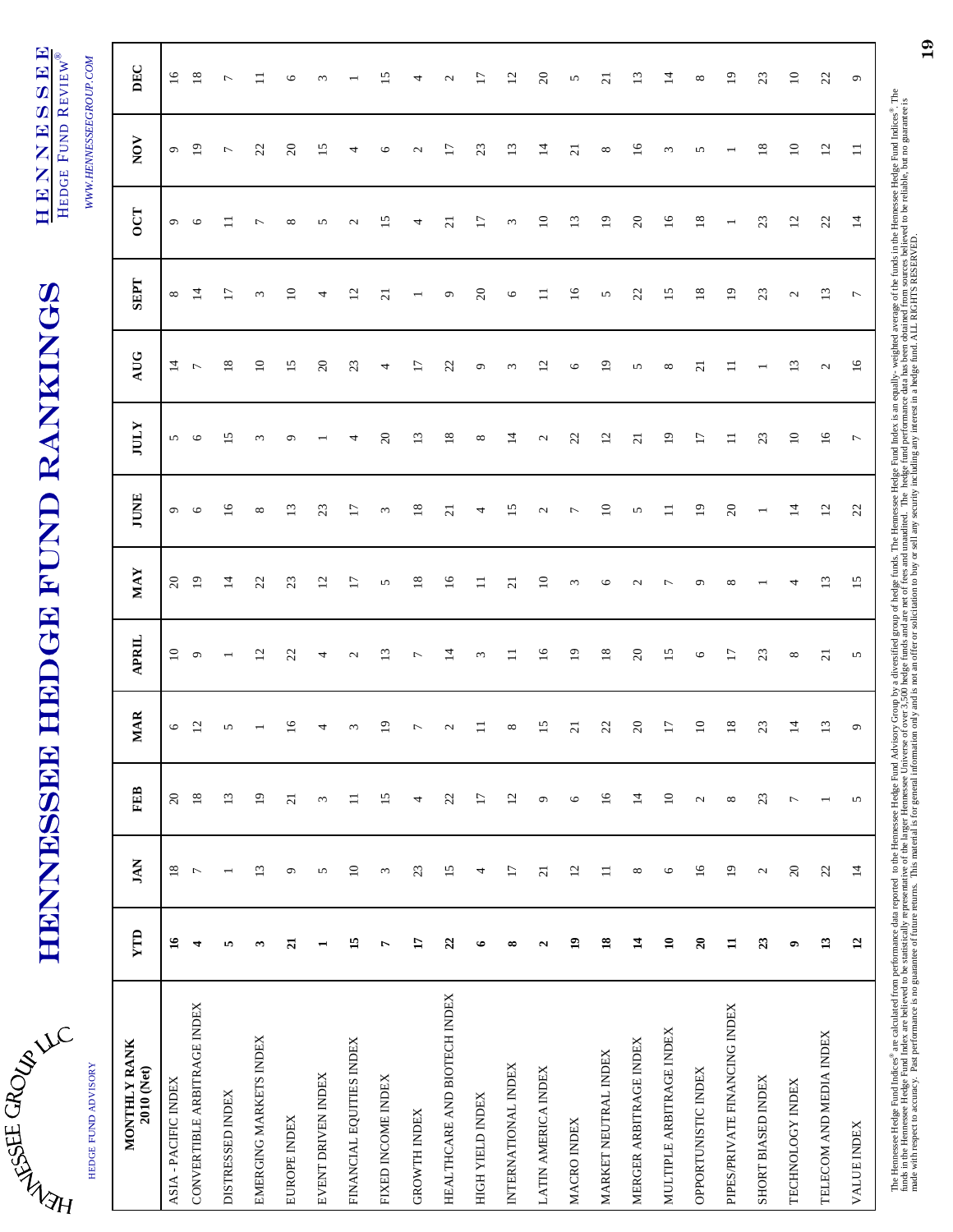| ፡<br>۲ |   |
|--------|---|
|        | ł |

# **HENNESSEE HEDGE FUND RANKINGS** HENNESSEE HEDGE FUND RANKINGS

HENNESSEE HENNESSEE HEDGE FUND REVIEW® HEDGE FUND REVIEW®

 $M$ 

| くりー                  |
|----------------------|
| ;;;;;;;              |
| <br> <br>            |
| <br> <br> <br>       |
| $\ddot{\phantom{0}}$ |
| ł                    |

| HEDGE FUND ADVISORY           |                    |                 |                   |                 |                   |                 |                   |                 |                   |                          |                 | WWW.HENNESSEEGROUP.COM |                   |
|-------------------------------|--------------------|-----------------|-------------------|-----------------|-------------------|-----------------|-------------------|-----------------|-------------------|--------------------------|-----------------|------------------------|-------------------|
| MONTHLY RANK<br>2010 (Net)    | YTD                | <b>JAN</b>      | FEB               | <b>MAR</b>      | <b>APRIL</b>      | <b>MAY</b>      | <b>JUNE</b>       | <b>IULY</b>     | AUG               | <b>SEPT</b>              | <b>DOLT</b>     | NOV                    | DEC               |
| ASIA - PACIFIC INDEX          | $\mathfrak{g}$     | $18\,$          | $20\,$            | 9               | $\overline{10}$   | $\overline{c}$  | $\mathbf{\sigma}$ | 5               | $\overline{4}$    | $\infty$                 | $\sigma$        | $\mathbf{\sigma}$      | $\overline{16}$   |
| CONVERTIBLE ARBITRAGE INDEX   | 4                  | $\overline{ }$  | $\overline{18}$   | $\overline{12}$ | $\circ$           | 19              | $\circ$           | $\circ$         | $\overline{ }$    | $\overline{4}$           | $\circ$         | $\overline{19}$        | $\overline{18}$   |
| <b>DISTRESSED INDEX</b>       | ю                  |                 | 13                |                 |                   | $\vec{a}$       | $\tilde{=}$       | v               | $\overline{18}$   | $\overline{17}$          |                 | $\overline{ }$         | $\overline{ }$    |
| EMERGING MARKETS INDEX        | ω                  | 13              | $\overline{19}$   |                 | $\overline{c}$    | 22              | ${}^{\circ}$      | 3               | $\Xi$             | $\omega$                 | ∼               | 22                     |                   |
| EUROPE INDEX                  | $\overline{21}$    | $\mathfrak{S}$  | $\overline{21}$   | <b>S</b>        | 22                | 23              | $\mathbf{r}$      |                 | 15                | $\overline{10}$          | $\infty$        | $\Omega$               | O                 |
| EVENT DRIVEN INDEX            |                    | 5               | 3                 |                 | 4                 | $\overline{c}$  | 23                |                 | $\overline{c}$    | 4                        | 5               | 15                     | $\epsilon$        |
| FINANCIAL EQUITIES INDEX      | 15                 | $\overline{10}$ | $\equiv$          |                 | $\mathbf{\Omega}$ | $\overline{17}$ | E                 | 4               | 23                | $\overline{c}$           | $\mathbf{\sim}$ | 4                      |                   |
| FIXED INCOME INDEX            | 1                  | 3               | 15                |                 | $\Xi$             | 5               | $\omega$          | $\overline{c}$  | 4                 | $\overline{c}$           | $\overline{15}$ | $\circ$                | 51                |
| <b>GROWTH INDEX</b>           | $\mathbf{L}$       | 23              | 4                 |                 | Γ                 | $\frac{8}{2}$   | $\frac{8}{2}$     | 13              | 17                | $\overline{\phantom{0}}$ | 4               | $\mathbf{\Omega}$      | 4                 |
| HEALTHCARE AND BIOTECH INDEX  | 22                 | 15              | 22                |                 | $\overline{4}$    | $\overline{16}$ | $\overline{c}$    | 18              | 22                | $\sigma$                 | $\overline{c}$  | $\overline{17}$        | $\mathbf{\Omega}$ |
| HIGH YIELD INDEX              | $\bullet$          | 4               | $\overline{17}$   |                 | $\epsilon$        | ロ               | 4                 | ${}^{\circ}$    | $\mathbf{\sigma}$ | $20\,$                   | $\overline{17}$ | 23                     | Ξ                 |
| INTERNATIONAL INDEX           | $\infty$           | $\overline{17}$ | $\overline{c}$    | ∞               | $\Xi$             | $\overline{c}$  | 15                | $\vec{a}$       | $\epsilon$        | $\circ$                  | 3               | $\frac{3}{2}$          | 2                 |
| LATIN AMERICA INDEX           | $\mathbf{\hat{z}}$ | $\overline{21}$ | $\mathbf{\sigma}$ | 15              | 16                | $\overline{10}$ | $\mathbf{c}$      | $\mathbf{C}$    | $\overline{c}$    | $\equiv$                 | $\overline{10}$ | $\vec{a}$              | $\Omega$          |
| MACRO INDEX                   | $\mathbf{a}$       | 12              | $\circ$           | $\overline{c}$  | $\overline{1}$    | 3               | $\overline{ }$    | 22              | $\circ$           | $\overline{16}$          | 13              | $\overline{\Omega}$    | S                 |
| MARKET NEUTRAL INDEX          | $\mathbf{18}$      | $\equiv$        | $\overline{16}$   | $\mathfrak{Z}$  | 18                | $\circ$         | $\Xi$             | $\overline{2}$  | 19                | $\mathbf{\hat{S}}$       | $\overline{19}$ | ${}^{\circ}$           | $\overline{c}$    |
| MERGER ARBITRAGE INDEX        | $\overline{1}$     | ${}^{\infty}$   | $\overline{4}$    | $\infty$        | $\mathfrak{S}$    | $\mathbf{c}$    | 5                 | $\overline{c}$  | 5                 | 22                       | $\mathfrak{S}$  | $\overline{16}$        | $\Xi$             |
| MULTIPLE ARBITRAGE INDEX      | $\mathbf{10}$      | $\circ$         | $10$              | F               | 15                | $\overline{ }$  | $\equiv$          | 19              | ${}^{\circ}$      | 15                       | $\overline{16}$ | $\epsilon$             | $\vec{4}$         |
| OPPORTUNISTIC INDEX           | $\overline{20}$    | $\overline{16}$ | $\mathbf{\Omega}$ | $\Xi$           | $\circ$           | Ó               | $\overline{1}$    | $\overline{17}$ | $\overline{c}$    | $\overline{18}$          | 18              | $\sqrt{2}$             | $\infty$          |
| PIPES/PRIVATE FINANCING INDEX | $\mathbf{H}$       | $\overline{19}$ | $\infty$          | $\frac{8}{2}$   | $\overline{17}$   | $\infty$        | $\infty$          | $\equiv$        | $\Box$            | $\overline{9}$           |                 |                        | $\overline{9}$    |
| SHORT BIASED INDEX            | 23                 | $\mathcal{L}$   | 23                | $\mathfrak{L}$  | 23                |                 |                   | 23              | $\overline{ }$    | 23                       | 23              | $18\,$                 | 23                |
| TECHNOLOGY INDEX              | ۰                  | $20\,$          | $\overline{ }$    | ∸               | ${}^{\circ}$      | 4               | 4                 | $\overline{10}$ | $\overline{13}$   | $\mathcal{L}$            | 12              | $\overline{10}$        | $\approx$         |
| TELECOM AND MEDIA INDEX       | 13                 | 22              |                   |                 | $\overline{21}$   | 13              | 12                | $16$            | $\mathcal{L}$     | $\mathbf{L}$             | 22              | 12                     | 22                |
| VALUE INDEX                   | $\overline{12}$    | $\overline{1}$  | 5                 |                 | $\sim$            | $\overline{15}$ | $\mathfrak{L}$    | $\overline{r}$  | 16                | $\overline{ }$           | 14              | $\Box$                 | $\circ$           |
|                               |                    |                 |                   |                 |                   |                 |                   |                 |                   |                          |                 |                        |                   |

The Hennessee Hedge-Fund Indices® are calculated from performance data reported to the Hendge Advisory Group by a diversified group of hedge funds. The Hennessee Hedge Fund Index is an equally- weighted average of the fund funds in the Hennessee Hedge Fund Index are believed to be statistically representative of the larger Hennessee Universe of over 3,500 hedge funds and are net of the sand unaudited. The hedge fund performance data has been made with respect to accuracy. Past performance is no guarantee of future returns. This material is for general information only and is not an offer or solicitation to buy or sell any security including any interest in a h

19